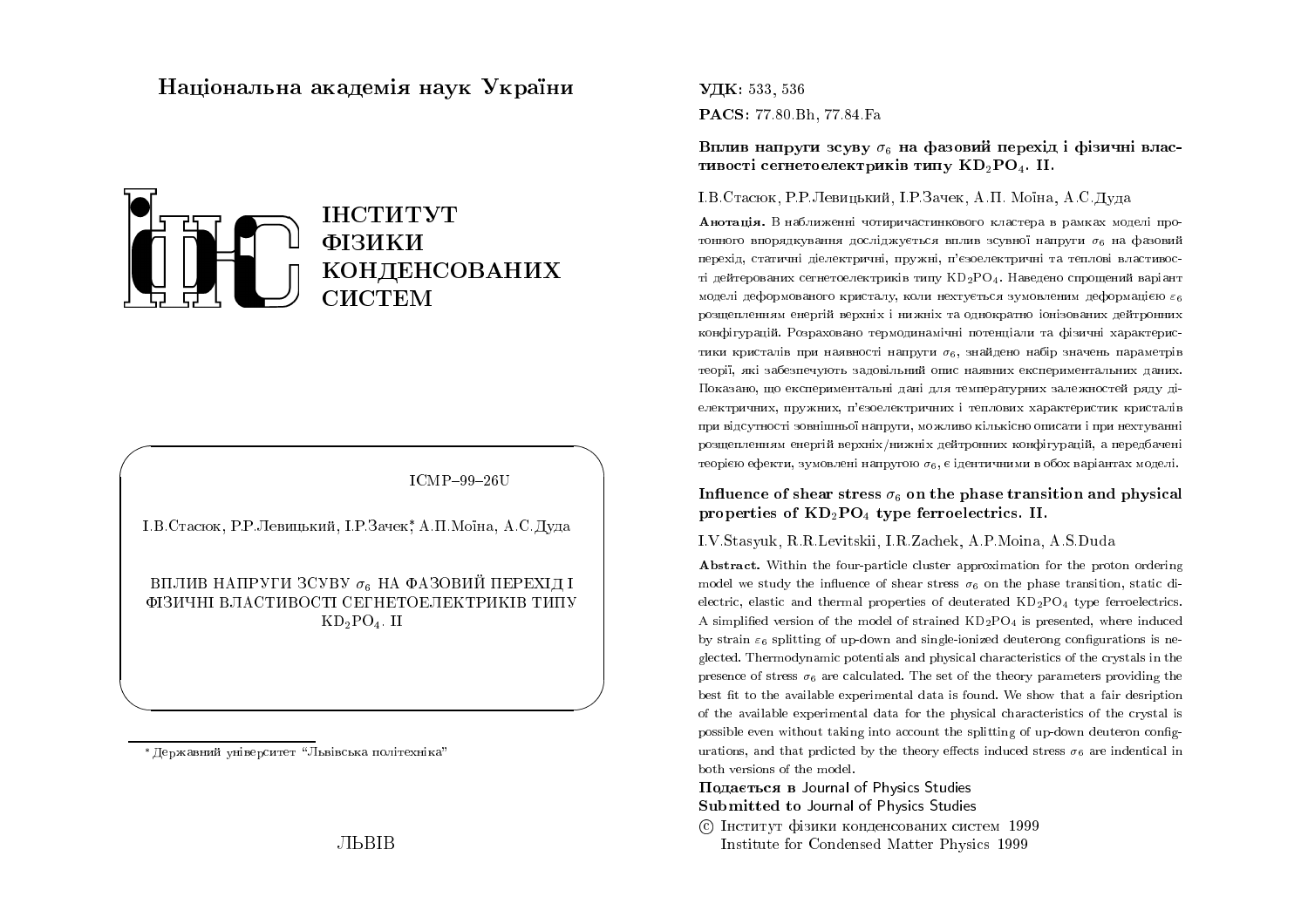# Національна академія наук України



ICMP-99-26U

І.В.Стасюк, Р.Р.Левицький, І.Р.Зачек\* А.П. Моїна, А.С. Лула

ВПЛИВ НАПРУГИ ЗСУВУ  $\sigma_6$  НА ФАЗОВИЙ ПЕРЕХІД І ФІЗИЧНІ ВЛАСТИВОСТІ СЕГНЕТОЕЛЕКТРИКІВ ТИПУ  $KD_2PO_4$ . II

\*Державний університет "Львівська політехніка"

## УДК: 533, 536 PACS: 77.80 Bh, 77.84 Fa

Вплив напруги зсуву  $\sigma_6$  на фазовий перехід і фізичні властивості сегнетоелектриків типу KD<sub>2</sub>PO<sub>4</sub>. II.

#### I.B. Стасюк, Р.Р. Левинький, I.Р. Зачек, А.П. Моїна, А.С. Лула

Анотація. В наближенні чотиричастинкового кластера в рамках моделі протонного впорядкування досліджується вплив зсувної напруги  $\sigma_6$  на фазовий перехід, статичні діелектричні, пружні, п'єзоелектричні та теплові властивості дейтерованих сегнетоелектриків типу KD<sub>2</sub>PO4. Наведено спрощений варіант моделі деформованого кристалу, коли нехтується зумовленим деформацією  $\varepsilon_6$ розщепленням енергій верхніх і нижніх та однократно іонізованих дейтронних конфігурацій. Розраховано термодинамічні потенціали та фізичні характеристики кристалів при наявності напруги  $\sigma_6$ , знайдено набір значень параметрів теорії, які забезпечують задовільний опис наявних експериментальних даних. Показано, що експериментальні дані для температурних залежностей ряду діелектричних, пружних, п'єзоелектричних і теплових характеристик кристалів при відсутності зовнішньої напруги, можливо кількісно описати і при нехтуванні розщепленням енергій верхніх/нижніх дейтронних конфігурацій, а передбачені теорією ефекти, зумовлені напругою  $\sigma_6$ , є ідентичними в обох варіантах моделі.

### Influence of shear stress  $\sigma_6$  on the phase transition and physical properties of  $KD_2PO_4$  type ferroelectrics. II.

#### I.V.Stasyuk, R.R.Levitskii, I.R.Zachek, A.P.Moina, A.S.Duda

**Abstract.** Within the four-particle cluster approximation for the proton ordering model we study the influence of shear stress  $\sigma_6$  on the phase transition, static dielectric, elastic and thermal properties of deuterated  $KD_2PO_4$  type ferroelectrics. A simplified version of the model of strained  $KD_2PO_4$  is presented, where induced by strain  $\varepsilon_6$  splitting of up-down and single-ionized deuterong configurations is neglected. Thermodynamic potentials and physical characteristics of the crystals in the presence of stress  $\sigma_6$  are calculated. The set of the theory parameters providing the best fit to the available experimental data is found. We show that a fair desription of the available experimental data for the physical characteristics of the crystal is possible even without taking into account the splitting of up-down deuteron configurations, and that prdicted by the theory effects induced stress  $\sigma_6$  are indentical in both versions of the model.

### Подається в Journal of Physics Studies Submitted to Journal of Physics Studies

С Інститут фізики конденсованих систем 1999 Institute for Condensed Matter Physics 1999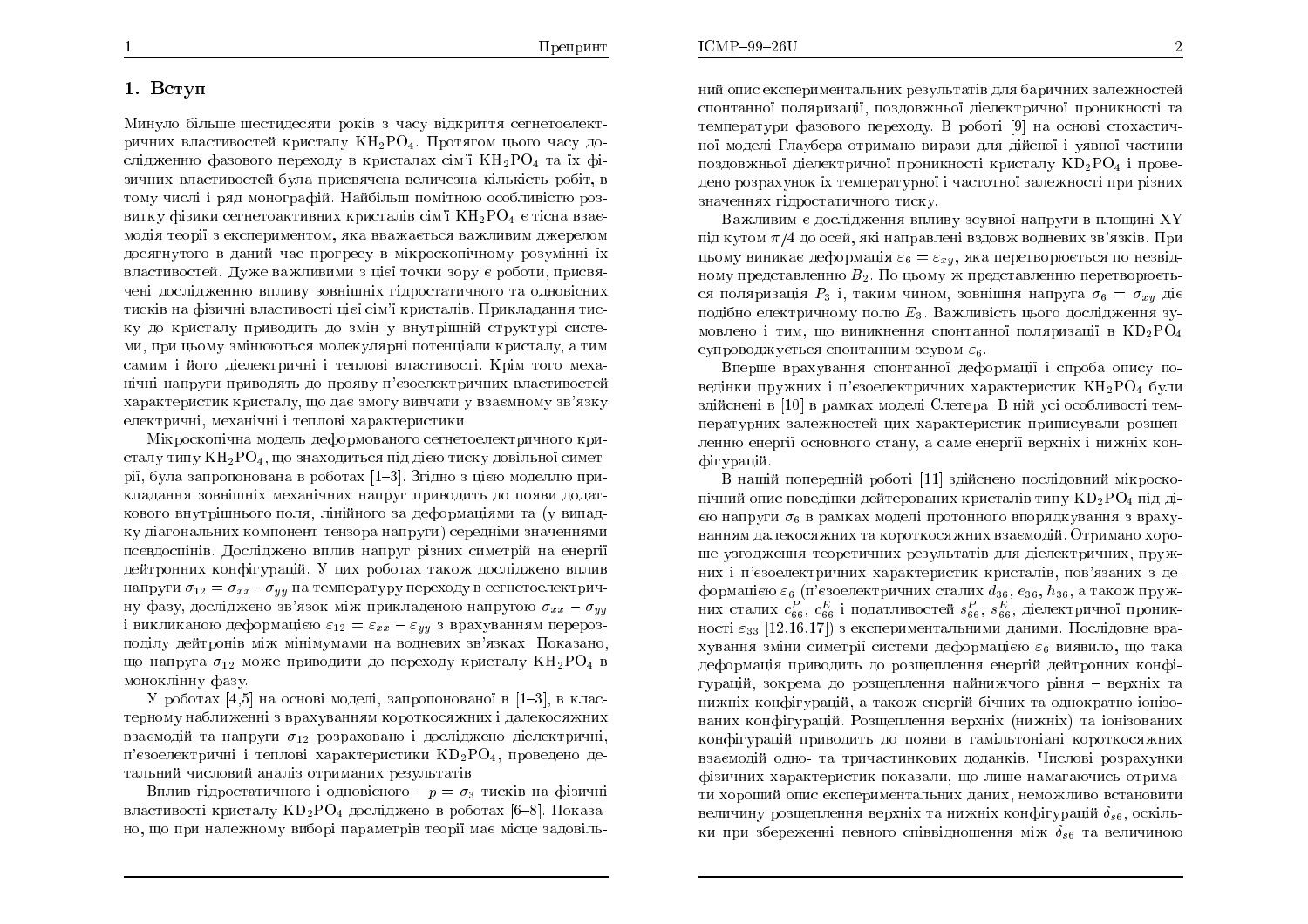### 1. Вступ

Минуло більше шестидесяти років з часу відкриття сегнетоелектричних властивостей кристалу КН2РО4. Протягом цього часу дослідженню фазового переходу в кристалах сім'ї  $\rm{KH_{2}PO_{4}}$  та їх фізичних властивостей була присвячена величезна кількість робіт, в тому числі і ряд монографій. Найбільш помітною особливістю роз-<br>Підарось витку фізики сегнетоактивних кристалів сім'ї  $\rm{KH_{2}PO_{4}}$  є тісна взаємодія теорії з експериментом, яка вважається важливим джерелом<br>——————————————————— досягнутого в даний час прогресу в мікроскопічному розумінні їх властивостей. Дуже важливими з цієї точки зору є роботи, присвячені дослідженню впливу зовнішніх гідростатичного та одновісних<br>П тисків на фізичні властивості цієї сім'ї кристалів. Прикладання тиску до кристалу приводить до змін у внутрішній структурі системи, при цьому змінюються молекулярні потенціали кристалу, а тим самим і його діелектричні і теплові властивості. Крім того меха-<br>. нічні напруги приводять до прояву п'єзоелектричних властивостей характеристик кристалу, що дає змогу вивчати у взаємному зв'язку електричні, механічні і теплові характеристики.

Мікроскопічна модель деформованого сегнетоелектричного кристалу типу  $KH_2PO_4$ , що знаходиться під дією тиску довільної симет $\tilde{C}$ рії, була запропонована в роботах [1–3]. Згідно з цією моделлю прикладання зовнішніх механічних напруг приводить до появи додаткового внутрішнього поля, лінійного за деформаціями та (у випадку діагональних компонент тензора напруги) середніми значеннями псевдоспінів. Досліджено вплив напруг різних симетрій на енергії дейтронних конфігурацій. У цих роботах також досліджено вплив<br>Сайдаристичних формирований с совети совети по совети по совети совети на совети на совети на совети на совети напруги  $\sigma_{12}=\sigma_{xx}-\sigma_{yy}$  на температуру переходу в сегнетоелектричну фазу, досліджено зв'язок між прикладеною напругою  $\sigma_{xx} - \sigma_{yy}$ i викликаною деформацією  $\varepsilon_{12} = \varepsilon_{xx} - \varepsilon_{yy}$  з врахуванням перерозподілу дейтронів між мінімумами на водневих зв'язках. Показано,<br>— «Загодник» — «Зародник при ститу до дерекси» измедати ИН РО що напруга  $\sigma_{12}$  може приводити до переходу кристалу  $\rm{KH_{2}PO_{4}}$  в моноклінну фазу

У роботах  $[4,5]$  на основі моделі, запропонованої в  $[1-3]$ , в кластерному наближенні з врахуванням короткосяжних і далекосяжних<br>... взаємодій та напруги  $\sigma_{12}$  розраховано і досліджено діелектричні, п'єзоелектричні і теплові характеристики  $\mathrm{KD_2PO_4},$  проведено детальний числовий аналіз отриманих результатів.<br>—

Вплив гідростатичного і одновісного  $-p=\sigma_3$  тисків на фізичні властивості кристалу  $\mathrm{KD_2PO_4}$  досліджено в роботах [6–8]. Показано, що при належному виборі параметрів теорії має місце задовіль<mark>-</mark> ний опис експериментальних результатів для баричних залежностей<br> спонтанної поляризації, поздовжньої діелектричної проникності та температури фазового переходу. В роботі [9] на основі стохастичної моделі Глаубера отримано вирази для дійсної і уявної частини поздовжньої дієлектричної проникності кристалу  $\mathrm{KD}_2\mathrm{PO}_4$  і проведено розрахунок їх температурної і частотної залежності при різних значеннях гідростатичного тиску.

Важливим є дослідження впливу зсувної напруги в площині XY під кутом  $\pi/4$  до осей, які направлені вздовж водневих зв'язків. При<br>… «и» в тичное деферменів с собором предлагаються за не нарід. цьому виникає деформація  $\varepsilon_6 = \varepsilon_{xy}$ , яка перетворюється по незвідному представленню  $B_2$ . По цьому ж представленню перетворюєть-<br>25 декември: В. і деких шись развіших контина – — — — — — — — ся поляризація  $P_3$  і, таким чином, зовнішня напруга  $\sigma_6 = \sigma_{xy}$  діє подібно електричному полю  $E_3$ . Важливість цього дослідження зумовлено і тим, що виникнення спонтанної поляризації в  $\mathrm{KD_2PO_4}$ супроводжується спонтанним зсувом  $\varepsilon_6$ .

Вперше врахування спонтанної деформації і спроба опису поведінки пружних і п'єзоелектричних характеристик  $\rm KH_{2}PO_{4}$  були здійснені в [10] в рамках моделі Слетера. В ній усі особливості температурних залежностей цих характеристик приписували розщепленню енергії основного стану, а саме енергії верхніх і нижніх кон-<br>1 фігурацій.

В нашій попередній роботі [11] здійснено послідовний мікроскопічний опис поведінки дейтерованих кристалів типу  $\mathrm{KD_2PO_4}$  під дією напруги  $\sigma_6$  в рамках моделі протонного впорядкування з врахуванням далекосяжних та короткосяжних взаємодій. Отримано хороше узгодження теоретичних результатів для діелектричних, пружних і п'єзоелектричних характеристик кристалів, пов'язаних з деформацією  $\varepsilon_{6}$  (п'єзоелектричних сталих  $d_{36},$   $e_{36},$   $h_{36},$  а також формацією  $\varepsilon_6$  (п єзоелектричних сталих  $a_{36}, e_{36}, a_{36}$ , а також пруж-<br>них сталих  $c_{66}^P$ ,  $c_{66}^E$  і податливостей  $s_{66}^P$ ,  $s_{66}^E$ , діелектричної проникності  $\varepsilon_{33}$   $[12,\!16,\!17])$  з експериментальними даними. Послідовне врахування зміни симетрії системи деформацією  $\varepsilon_{6}$  виявило, що така деформація приводить до розщеплення енергій дейтронних конфі<mark>-</mark> гурацій, зокрема до розщеплення найнижчого рівня — верхніх та ÎÉÖÎÈ ËÏÎÆÇÕÒÁÊ, <sup>Á</sup> ÔÁËÏÖ ÅÎÅÒÇÊ ÂÞÎÉÈ ÔÁ ÏÄÎÏËÒÁÔÎÏ ÏÎÚÏ ваних конфігурацій. Розщеплення верхніх (нижніх) та іонізованих конфігурацій приводить до появи в гамільтоніані короткосяжних<br>-взаємодій одно- та тричастинкових доданків. Числові розрахунки<br>... фізичних характеристик показали, що лише намагаючись отримати хороший опис експериментальних даних, неможливо встановити величину розщеплення верхніх та нижніх конфігурацій  $\delta_{s6},$  оскільки при збереженні певного співвідношення між  $\delta_{s6}$  та величиною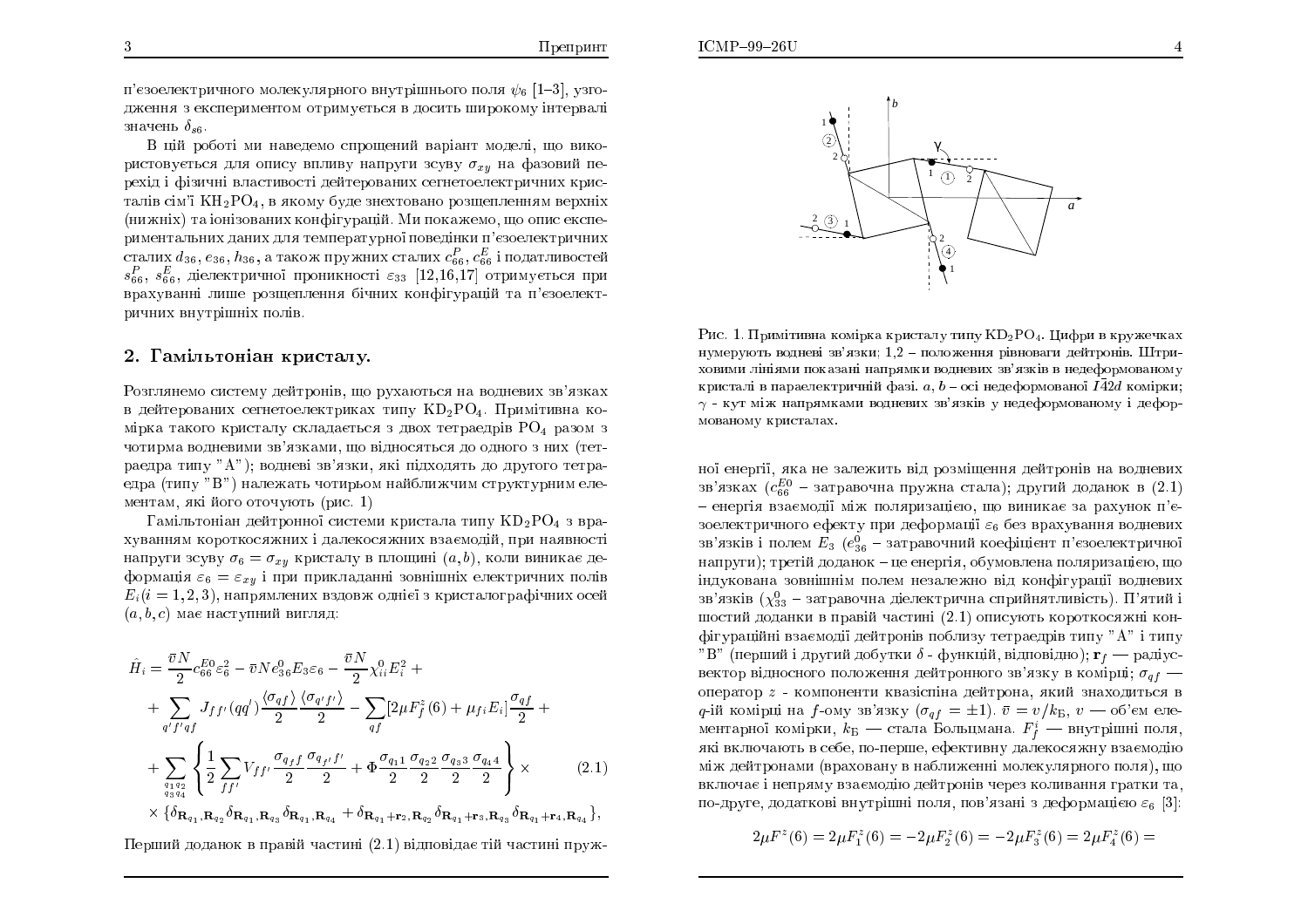$ICMP-99-26U$ 

п'єзоелектричного молекулярного внутрішнього поля  $\psi_6$  [1–3], узгодження з експериментом отримується в досить широкому інтервалі<br>。 значень  $\delta_{s6}$ .

В цій роботі ми наведемо спрощений варіант моделі, що використовується для опису впливу напруги зсуву  $\sigma_{xy}$  на фазовий перехід і фізичні властивості дейтерованих сегнетоелектричних кристалів сім'ї  $\rm KH_{2}PO_{4},$  в якому буде знехтовано розщепленням верхніх (нижніх) та іонізованих конфігурацій. Ми покажемо, що опис експериментальних даних для температурної поведінки п'єзоелектричних<br>Городов сталих  $d_{36}, e_{36}, h_{36},$  а також пружних сталих  $c_6^P, c_6^E$  і податливостей $c^P$  $s^P_{66}, \, s^E_{66}, \,$  діелектричної проникності  $\varepsilon_{33}$   $[12,\!16,\!17]$  отримується при врахуванні лише розщеплення бічних конфігурацій та п'єзоелектричних внутрішніх полів.<br>.

# 2. Гамільтоніан кристалу.

Розглянемо систему дейтронів, що рухаються на водневих зв'язках в дейтерованих сегнетоелектриках типу  $\rm \,KD_2PO_4$ . Примітивна комірка такого кристалу складається з двох тетраедрів PO<sub>4</sub> разом з чотирма водневими зв'язками, що відносяться до одного з них (тетраедра типу "А"); водневі зв'язки, які підходять до другого тетраедра (типу "В") належать чотирьом найближчим структурним елементам, які його оточують (рис.  $1)$ 

 $\Gamma$ амільтоніан дейтронної системи кристала типу  $\mathrm{KD_2PO_4}$  з врахуванням короткосяжних і далекосяжних взаємодій, при наявності<br>——————————————————— напруги зсуву  $\sigma_6 = \sigma_{xy}$  кристалу в площині  $(a, b)$ , коли виникає деформація  $\varepsilon_6 = \varepsilon_{xy}$  і при прикладанні зовнішніх електричних полів $E(t) = 1 + \frac{1}{2}$  $E_i(i = 1, 2, 3)$ , напрямлених вздовж однієї з кристалографічних осей $(z, b, c)$  пад постанни $\emptyset$  питатац  $(a, b, c)$  має наступний вигляд:

$$
\hat{H}_{i} = \frac{\bar{v}N}{2} c_{66}^{E0} \varepsilon_{6}^{2} - \bar{v}Ne_{36}^{0}E_{3}\varepsilon_{6} - \frac{\bar{v}N}{2} \chi_{ii}^{0} E_{i}^{2} + \n+ \sum_{q'f'qf} J_{ff'}(qq') \frac{\langle \sigma_{qf} \rangle}{2} \frac{\langle \sigma_{q'f'} \rangle}{2} - \sum_{qf} [2\mu F_{f}^{z}(6) + \mu_{fi} E_{i}] \frac{\sigma_{qf}}{2} + \n+ \sum_{\substack{q_1q_2 \\ q_3q_4}} \left\{ \frac{1}{2} \sum_{ff'} V_{ff'} \frac{\sigma_{q_f f}}{2} \frac{\sigma_{q_f f'} f'}{2} + \Phi \frac{\sigma_{q_1 1}}{2} \frac{\sigma_{q_2 2}}{2} \frac{\sigma_{q_3 3}}{2} \frac{\sigma_{q_4 4}}{2} \right\} \times \n\left\{ \delta_{\mathbf{R}_{q_1}, \mathbf{R}_{q_2}} \delta_{\mathbf{R}_{q_1}, \mathbf{R}_{q_3}} \delta_{\mathbf{R}_{q_1}, \mathbf{R}_{q_4}} + \delta_{\mathbf{R}_{q_1} + \mathbf{r}_2, \mathbf{R}_{q_2}} \delta_{\mathbf{R}_{q_1} + \mathbf{r}_3, \mathbf{R}_{q_3}} \delta_{\mathbf{R}_{q_1} + \mathbf{r}_4, \mathbf{R}_{q_4}} \right\},
$$
\n(2.1)

Перший доданок в правій частині  $\left( 2.1\right)$  відповідає тій частині пруж-



 $\rm Pic$ . 1. Примітивна комірка кристалу типу  $\rm KD_2PO_4$ . Цифри в кружечках нумерують водневі зв'язки; 1,2 - положення рівноваги дейтронів. Штриховими лініями показані напрямки водневих зв'язків в недеформованому кристалі в параелектричній фазі.  $a,\,b$  – осі недеформованої  $I\bar{4}2d$  комірки;  $\gamma$  - кут між напрямками водневих зв'язків у недеформованому і деформованому кристалах.

ної енергії, яка не залежить від розміщення дейтронів на водневих<br>Гео зв'язках  $(c_{66}^{E0}$  – затравочна пружна стала); другий доданок в  $(2.1)$ – енергія взаємодії між поляризацією, що виникає за рахунок п'є-<br>послентишись сфенти дви деферменії с. без прошлення полистин зоелектричного ефекту при деформації  $\varepsilon_6$  без врахування водневих зв'язків і полем  $E_3$   $(e_{36}^0$  – затравочний коефіцієнт п'єзоелектричної напруги); третій доданок – це енергія, обумовлена поляризацією, що<br>. ÎÄÕËÏ×ÁÎÁ ÚÏ×ÎÛÎÍ ÏÌÅÍ ÎÅÚÁÌÅÖÎÏ ×Ä ËÏÎÆÇÕÒÁ§ ×ÏÄÎÅ×ÉÈ зв'язків  $(\chi_{33}^0$  – затравочна діелектрична сприйнятливість). П'ятий і шостий доданки в правій частині  $(2.1)$  описують короткосяжні кон-ÆÇÕÒÁÊÎ ×ÚÁ¤ÍÏħ ÄÅÊÔÒÏÎ× ÏÂÌÉÚÕ ÔÅÔÒÁÅÄÒ× ÔÉÕ "A" ÔÉÕ  $^{\prime\prime}$ В" (перший і другий добутки  $\delta$  - функцій, відповідно);  ${\bf r}_f$  — радіус-<br>вектор відносного подоження дейтронного зв'язку в комірці;  $\sigma$  : вектор відносного положення дейтронного зв'язку в комірці;  $\sigma_{qf}$  оператор z - компоненти квазіспіна дейтрона, який знаходиться в q-ій комірці на f-ому зв'язку  $(\sigma_{qf} = \pm 1)$ .  $\bar{v} = v/k_{\rm B}, v \text{ -- } 66$ 'єм елементарної комірки,  $k_{\rm B}$  — стала Больцмана.  $F^i_f$  — внутрішні поля,<br>які включають в себе, по-перше, ефективну палекосяжну взаємолію які включають в себе, по-перше, ефективну далекосяжну взаємодію між дейтронами (враховану в наближенні молекулярного поля), що включає і непряму взаємодію дейтронів через коливання гратки та,<br><sup>Гол</sup>і по-друге, додаткові внутрішні поля, пов'язані з деформацією  $\varepsilon_6$   $[3]$ :

 $2\mu F^z(6) = 2\mu F_1^z(6) = -2\mu F_2^z(6) = -2\mu F_3^z(6) = 2\mu F_4^z(6) =$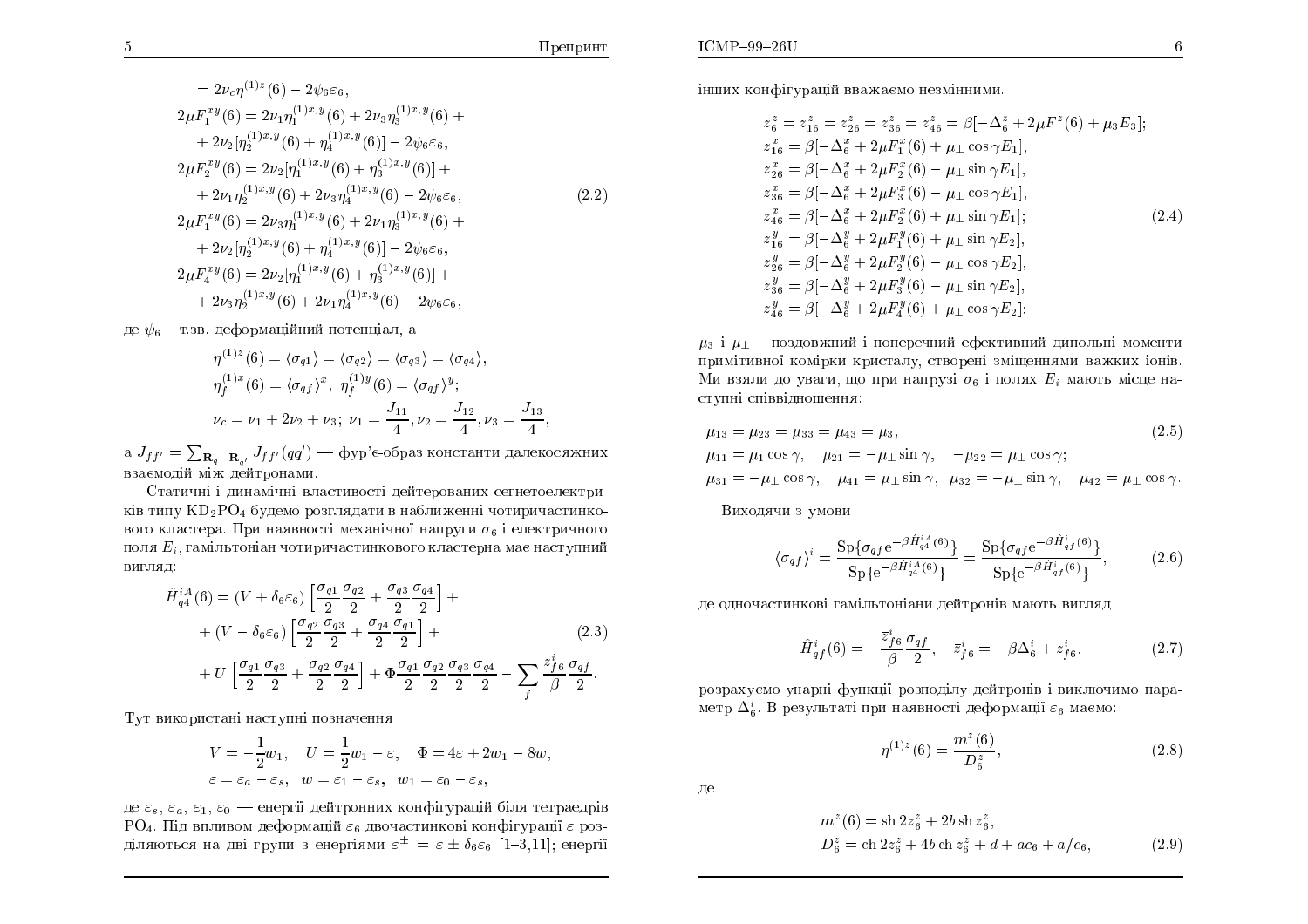$$
= 2\nu_c \eta^{(1)z}(6) - 2\psi_6 \varepsilon_6,
$$
  
\n
$$
2\mu F_1^{xy}(6) = 2\nu_1 \eta_1^{(1)x,y}(6) + 2\nu_3 \eta_3^{(1)x,y}(6) + 2\nu_2 [\eta_2^{(1)x,y}(6) + \eta_4^{(1)x,y}(6)] - 2\psi_6 \varepsilon_6,
$$
  
\n
$$
2\mu F_2^{xy}(6) = 2\nu_2 [\eta_1^{(1)x,y}(6) + \eta_3^{(1)x,y}(6)] + 2\nu_1 \eta_2^{(1)x,y}(6) + 2\nu_3 \eta_4^{(1)x,y}(6) - 2\psi_6 \varepsilon_6,
$$
  
\n
$$
2\mu F_1^{xy}(6) = 2\nu_3 \eta_1^{(1)x,y}(6) + 2\nu_1 \eta_3^{(1)x,y}(6) + 2\nu_2 [\eta_2^{(1)x,y}(6) + \eta_4^{(1)x,y}(6)] - 2\psi_6 \varepsilon_6,
$$
  
\n
$$
2\mu F_4^{xy}(6) = 2\nu_2 [\eta_1^{(1)x,y}(6) + \eta_3^{(1)x,y}(6)] + 2\nu_3 \eta_2^{(1)x,y}(6) + 2\nu_1 \eta_4^{(1)x,y}(6) - 2\psi_6 \varepsilon_6,
$$
  
\n(2.2)

де  $\psi_6$  – т.зв. деформаційний потенціал, а

$$
\eta^{(1)z}(6) = \langle \sigma_{q1} \rangle = \langle \sigma_{q2} \rangle = \langle \sigma_{q3} \rangle = \langle \sigma_{q4} \rangle,
$$
  
\n
$$
\eta_f^{(1)x}(6) = \langle \sigma_{qf} \rangle^x, \ \eta_f^{(1)y}(6) = \langle \sigma_{qf} \rangle^y;
$$
  
\n
$$
\nu_c = \nu_1 + 2\nu_2 + \nu_3; \ \nu_1 = \frac{J_{11}}{4}, \nu_2 = \frac{J_{12}}{4}, \nu_3 = \frac{J_{13}}{4}
$$

а  $J_{ff'} = \sum_{\mathbf{R}_q - \mathbf{R}_{q'}} J_{ff'}(qq')$  — фур'є-образ константи далекосяжних взаємодій між дейтронами.

Статичні і динамічні властивості дейтерованих сегнетоелектриків типу  $KD_2PO_4$  будемо розглядати в наближенні чотиричастинкового кластера. При наявності механічної напруги  $\sigma_6$  і електричного поля  $E_i$ , гамільтоніан чотиричастинкового кластерна має наступний вигляд:

$$
\hat{H}_{q4}^{iA}(6) = (V + \delta_6 \varepsilon_6) \left[ \frac{\sigma_{q1}}{2} \frac{\sigma_{q2}}{2} + \frac{\sigma_{q3}}{2} \frac{\sigma_{q4}}{2} \right] +
$$
  
+ 
$$
(V - \delta_6 \varepsilon_6) \left[ \frac{\sigma_{q2}}{2} \frac{\sigma_{q3}}{2} + \frac{\sigma_{q4}}{2} \frac{\sigma_{q1}}{2} \right] +
$$
(2.3)

$$
+\,U\,\Big[\frac{\sigma_{q1}}2\frac{\sigma_{q3}}2+\frac{\sigma_{q2}}2\frac{\sigma_{q4}}2\Big]+ \Phi\frac{\sigma_{q1}}2\frac{\sigma_{q2}}2\frac{\sigma_{q3}}2\frac{\sigma_{q4}}2-\sum_f\frac{z^i_{f6}}\beta\frac{\sigma_{qf}}2.
$$

Тут використані наступні позначення

$$
V = -\frac{1}{2}w_1, \quad U = \frac{1}{2}w_1 - \varepsilon, \quad \Phi = 4\varepsilon + 2w_1 - 8w,
$$
  

$$
\varepsilon = \varepsilon_a - \varepsilon_s, \quad w = \varepsilon_1 - \varepsilon_s, \quad w_1 = \varepsilon_0 - \varepsilon_s,
$$

де  $\varepsilon_s$ ,  $\varepsilon_a$ ,  $\varepsilon_1$ ,  $\varepsilon_0$  — енергії дейтронних конфігурацій біля тетраедрів  $PO_4$ . Під впливом деформацій  $\varepsilon_6$  двочастинкові конфігурації  $\varepsilon$  розділяються на дві групи з енергіями  $\varepsilon^{\pm} = \varepsilon \pm \delta_6 \varepsilon_6$  [1-3,11]; енергії

інших конфігурацій вважаємо незмінними.

$$
z_6^z = z_{16}^z = z_{26}^z = z_{36}^z = z_{46}^z = \beta[-\Delta_6^z + 2\mu F^z(6) + \mu_3 E_3];
$$
  
\n
$$
z_{16}^x = \beta[-\Delta_6^x + 2\mu F_1^x(6) + \mu_1 \cos \gamma E_1],
$$
  
\n
$$
z_{26}^x = \beta[-\Delta_6^x + 2\mu F_2^x(6) - \mu_1 \sin \gamma E_1],
$$
  
\n
$$
z_{36}^x = \beta[-\Delta_6^x + 2\mu F_3^x(6) - \mu_1 \cos \gamma E_1],
$$
  
\n
$$
z_{46}^x = \beta[-\Delta_6^x + 2\mu F_2^x(6) + \mu_1 \sin \gamma E_1];
$$
  
\n
$$
z_{16}^y = \beta[-\Delta_6^y + 2\mu F_1^y(6) + \mu_1 \sin \gamma E_2],
$$
  
\n
$$
z_{26}^y = \beta[-\Delta_6^y + 2\mu F_2^y(6) - \mu_1 \cos \gamma E_2],
$$
  
\n
$$
z_{36}^y = \beta[-\Delta_6^y + 2\mu F_3^y(6) - \mu_1 \sin \gamma E_2],
$$
  
\n
$$
z_{46}^y = \beta[-\Delta_6^y + 2\mu F_4^y(6) + \mu_1 \cos \gamma E_2];
$$

 $\mu_3$  і  $\mu_1$  - поздовжний і поперечний ефективний дипольні моменти примітивної комірки кристалу, створені зміщеннями важких іонів. Ми взяли до уваги, що при напрузі  $\sigma_6$  і полях  $E_i$  мають місце наступні співвідношення:

$$
\mu_{13} = \mu_{23} = \mu_{33} = \mu_{43} = \mu_{3},
$$
\n
$$
\mu_{11} = \mu_1 \cos \gamma, \quad \mu_{21} = -\mu_{\perp} \sin \gamma, \quad -\mu_{22} = \mu_{\perp} \cos \gamma;
$$
\n
$$
\mu_{31} = -\mu_{\perp} \cos \gamma, \quad \mu_{41} = \mu_{\perp} \sin \gamma, \quad \mu_{32} = -\mu_{\perp} \sin \gamma, \quad \mu_{42} = \mu_{\perp} \cos \gamma.
$$
\n(2.5)

Виходячи з умови

$$
\langle \sigma_{qf} \rangle^{i} = \frac{\text{Sp}\{\sigma_{qf}e^{-\beta \hat{H}_{q4}^{iA}(6)}\}}{\text{Sp}\{e^{-\beta \hat{H}_{q4}^{iA}(6)}\}} = \frac{\text{Sp}\{\sigma_{qf}e^{-\beta \hat{H}_{qf}^{i}(6)}\}}{\text{Sp}\{e^{-\beta \hat{H}_{qf}^{i}(6)}\}},
$$
(2.6)

де одночастинкові гамільтоніани дейтронів мають вигляд

$$
\hat{H}_{qf}^{i}(6) = -\frac{\bar{z}_{f6}^{i}}{\beta} \frac{\sigma_{qf}}{2}, \quad \bar{z}_{f6}^{i} = -\beta \Delta_{6}^{i} + z_{f6}^{i}, \tag{2.7}
$$

розрахуємо унарні функції розподілу дейтронів і виключимо параметр  $\Delta_6^i$ . В результаті при наявності деформації  $\varepsilon_6$  маємо:

$$
\eta^{(1)z}(6) = \frac{m^z(6)}{D_6^z},\tag{2.8}
$$

де

$$
m^{z}(6) = \text{sh} 2z_{6}^{z} + 2b \,\text{sh} z_{6}^{z},
$$
  
\n
$$
D_{6}^{z} = \text{ch} 2z_{6}^{z} + 4b \,\text{ch} z_{6}^{z} + d + ac_{6} + a/c_{6},
$$
\n(2.9)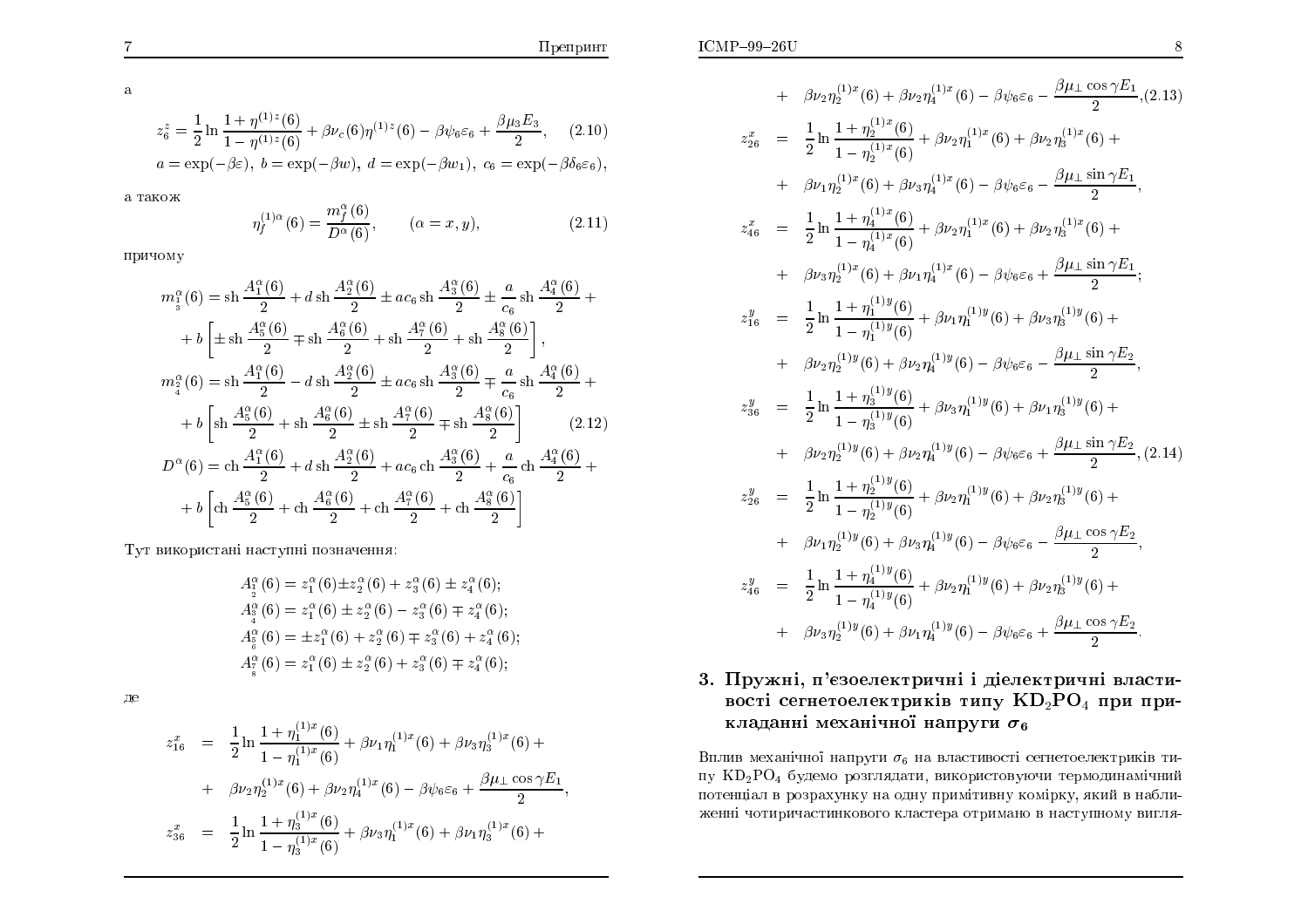$$
z_6^z = \frac{1}{2} \ln \frac{1 + \eta^{(1)z}(6)}{1 - \eta^{(1)z}(6)} + \beta \nu_c(6)\eta^{(1)z}(6) - \beta \psi_6 \varepsilon_6 + \frac{\beta \mu_3 E_3}{2}, \quad (2.10)
$$
  

$$
a = \exp(-\beta \varepsilon), \ b = \exp(-\beta w), \ d = \exp(-\beta w_1), \ c_6 = \exp(-\beta \delta_6 \varepsilon_6),
$$

а також

$$
\eta_f^{(1)\alpha}(6) = \frac{m_f^{\alpha}(6)}{D^{\alpha}(6)}, \qquad (\alpha = x, y), \tag{2.11}
$$

причому

$$
m_1^{\alpha}(6) = \sin \frac{A_1^{\alpha}(6)}{2} + d \sin \frac{A_2^{\alpha}(6)}{2} \pm ac_6 \sin \frac{A_3^{\alpha}(6)}{2} \pm \frac{a}{c_6} \sin \frac{A_4^{\alpha}(6)}{2} +
$$
  
+  $b \left[ \pm \sin \frac{A_5^{\alpha}(6)}{2} \mp \sin \frac{A_6^{\alpha}(6)}{2} + \sin \frac{A_7^{\alpha}(6)}{2} + \sin \frac{A_8^{\alpha}(6)}{2} \right],$   

$$
m_1^{\alpha}(6) = \sin \frac{A_1^{\alpha}(6)}{2} - d \sin \frac{A_2^{\alpha}(6)}{2} \pm ac_6 \sin \frac{A_3^{\alpha}(6)}{2} \mp \frac{a}{c_6} \sin \frac{A_4^{\alpha}(6)}{2} +
$$
  
+  $b \left[ \sin \frac{A_5^{\alpha}(6)}{2} + \sin \frac{A_6^{\alpha}(6)}{2} \pm \sin \frac{A_7^{\alpha}(6)}{2} \mp \sin \frac{A_8^{\alpha}(6)}{2} \right]$  (2.12)  

$$
D^{\alpha}(6) = \cosh \frac{A_1^{\alpha}(6)}{2} + d \sin \frac{A_2^{\alpha}(6)}{2} + ac_6 \cosh \frac{A_3^{\alpha}(6)}{2} + \frac{a}{c_6} \cosh \frac{A_4^{\alpha}(6)}{2} +
$$
  
+  $b \left[ \cosh \frac{A_5^{\alpha}(6)}{2} + \cosh \frac{A_6^{\alpha}(6)}{2} + \cosh \frac{A_7^{\alpha}(6)}{2} + \cosh \frac{A_8^{\alpha}(6)}{2} \right]$ 

Тут використані наступні позначення:

$$
A_2^{\alpha}(6) = z_1^{\alpha}(6) \pm z_2^{\alpha}(6) + z_3^{\alpha}(6) \pm z_4^{\alpha}(6);
$$
  
\n
$$
A_3^{\alpha}(6) = z_1^{\alpha}(6) \pm z_2^{\alpha}(6) - z_3^{\alpha}(6) \mp z_4^{\alpha}(6);
$$
  
\n
$$
A_5^{\alpha}(6) = \pm z_1^{\alpha}(6) + z_2^{\alpha}(6) \mp z_3^{\alpha}(6) + z_4^{\alpha}(6);
$$
  
\n
$$
A_5^{\alpha}(6) = z_1^{\alpha}(6) \pm z_2^{\alpha}(6) + z_3^{\alpha}(6) \mp z_4^{\alpha}(6);
$$

де

$$
z_{16}^x = \frac{1}{2} \ln \frac{1 + \eta_1^{(1)x}(6)}{1 - \eta_1^{(1)x}(6)} + \beta \nu_1 \eta_1^{(1)x}(6) + \beta \nu_3 \eta_3^{(1)x}(6) +
$$
  
+ 
$$
\beta \nu_2 \eta_2^{(1)x}(6) + \beta \nu_2 \eta_4^{(1)x}(6) - \beta \psi_6 \varepsilon_6 + \frac{\beta \mu_1 \cos \gamma E_1}{2}
$$
  

$$
z_{36}^x = \frac{1}{2} \ln \frac{1 + \eta_3^{(1)x}(6)}{1 - \eta_3^{(1)x}(6)} + \beta \nu_3 \eta_1^{(1)x}(6) + \beta \nu_1 \eta_3^{(1)x}(6) +
$$

+ 
$$
\beta \nu_2 \eta_2^{(1)x} (6) + \beta \nu_2 \eta_4^{(1)x} (6) - \beta \psi_6 \varepsilon_6 - \frac{\beta \mu_1 \cos \gamma E_1}{2}
$$
, (2.13)  
\n
$$
z_{26}^x = \frac{1}{2} \ln \frac{1 + \eta_2^{(1)x} (6)}{1 - \eta_2^{(1)x} (6)} + \beta \nu_2 \eta_1^{(1)x} (6) + \beta \nu_2 \eta_3^{(1)x} (6) + \beta \nu_1 \eta_2^{(1)x} (6) + \beta \nu_3 \eta_4^{(1)x} (6) - \beta \psi_6 \varepsilon_6 - \frac{\beta \mu_1 \sin \gamma E_1}{2}
$$
,  
\n
$$
z_{46}^x = \frac{1}{2} \ln \frac{1 + \eta_4^{(1)x} (6)}{1 - \eta_4^{(1)x} (6)} + \beta \nu_2 \eta_1^{(1)x} (6) + \beta \nu_2 \eta_3^{(1)x} (6) + \beta \nu_3 \eta_2^{(1)x} (6) + \beta \nu_3 \eta_2^{(1)x} (6) + \beta \nu_1 \eta_4^{(1)x} (6) - \beta \psi_6 \varepsilon_6 + \frac{\beta \mu_1 \sin \gamma E_1}{2}
$$
;  
\n
$$
z_{16}^y = \frac{1}{2} \ln \frac{1 + \eta_1^{(1)y} (6)}{1 - \eta_1^{(1)y} (6)} + \beta \nu_1 \eta_1^{(1)y} (6) + \beta \nu_3 \eta_3^{(1)y} (6) + \beta \nu_2 \eta_2^{(1)y} (6) + \beta \nu_2 \eta_2^{(1)y} (6) + \beta \nu_2 \eta_2^{(1)y} (6) + \beta \nu_2 \eta_3^{(1)y} (6) + \beta \nu_2 \eta_2^{(1)y} (6) + \beta \nu_2 \eta_3^{(1)y} (6) + \beta \nu_2 \eta_2^{(1)y} (6) + \beta \nu_2 \eta_3^{(1)y} (6) + \beta \nu_2 \eta_2^{(1)y} (6) + \beta \nu_2 \eta_3^{(1)y} (6) + \beta \nu_2 \eta_2^{(1)y} (6) + \beta \nu_2 \eta_3^{(1)y} (6) + \beta \
$$

## 3. Пружні, п'єзоелектричні і діелектричні властивості сегнетоелектриків типу  $KD_2PO_4$  при прикладанні механічної напруги  $\sigma_6$

Вплив механічної напруги  $\sigma_6$  на властивості сегнетоелектриків типу KD<sub>2</sub>PO<sub>4</sub> будемо розглядати, використовуючи термодинамічний потенціал в розрахунку на одну примітивну комірку, який в наближенні чотиричастинкового кластера отримано в наступному вигля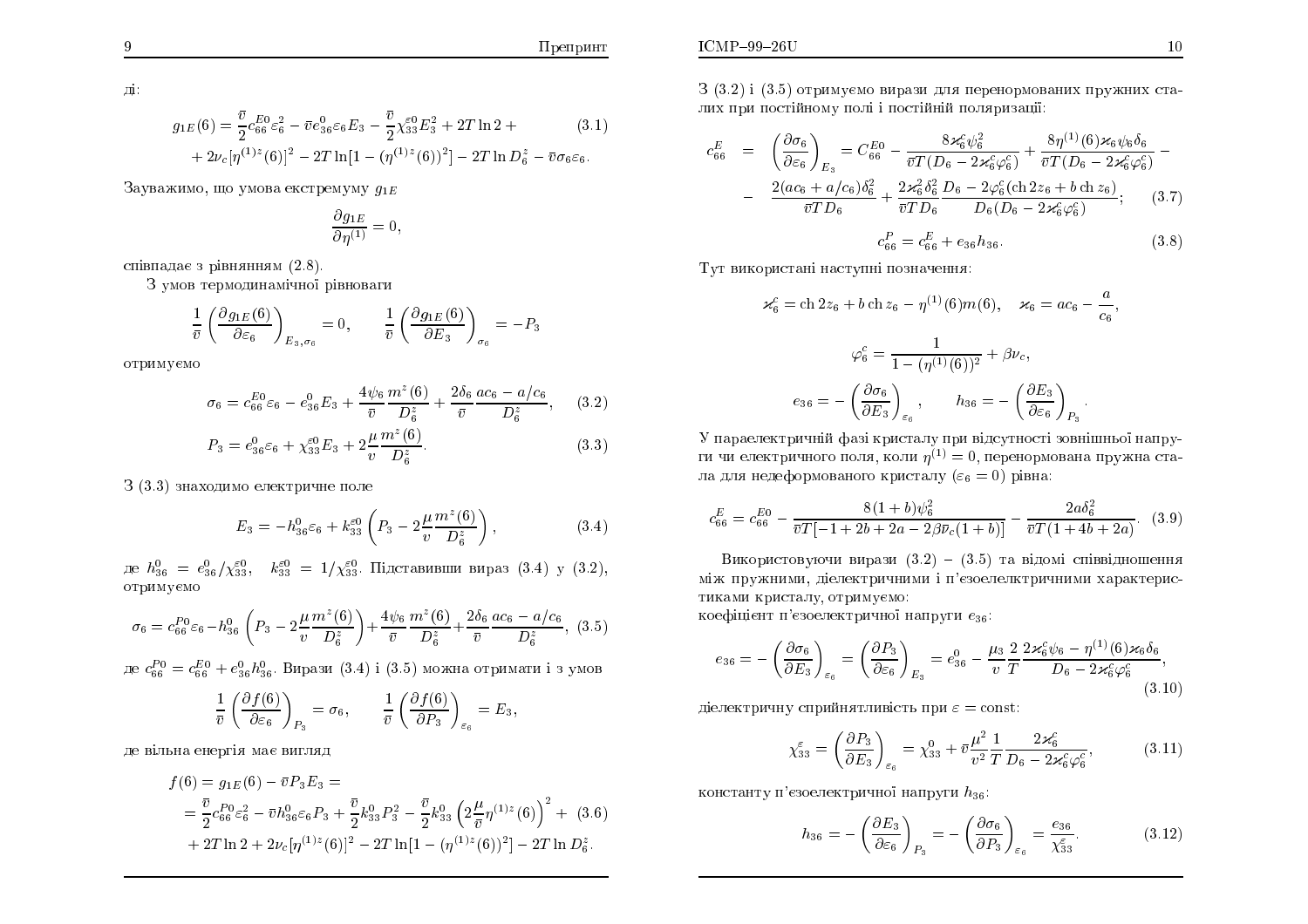Препринт

 $\rm \, \mathrm{m}$ 

$$
g_{1E}(6) = \frac{\bar{v}}{2} c_{66}^{E_0} \varepsilon_6^2 - \bar{v} e_{36}^0 \varepsilon_6 E_3 - \frac{\bar{v}}{2} \chi_{33}^{\varepsilon_0} E_3^2 + 2T \ln 2 + (3.1) + 2\nu_c [\eta^{(1)z}(6)]^2 - 2T \ln[1 - (\eta^{(1)z}(6))^2] - 2T \ln D_6^z - \bar{v} \sigma_6 \varepsilon_6.
$$

Зауважимо, що умова екстремуму  $g_{1E}$ 

$$
\frac{\partial g_{1E}}{\partial \eta^{(1)}} = 0,
$$

співпадає з рівнянням  $(2.8)$ .

З умов термодинамічної рівноваги

$$
\frac{1}{\bar{v}} \left( \frac{\partial g_{1E}(6)}{\partial \varepsilon_6} \right)_{E_3, \sigma_6} = 0, \qquad \frac{1}{\bar{v}} \left( \frac{\partial g_{1E}(6)}{\partial E_3} \right)_{\sigma_6} = -P_3
$$

отримуємо

$$
\sigma_6 = c_{66}^{E0} \varepsilon_6 - e_{36}^0 E_3 + \frac{4\psi_6}{\bar{v}} \frac{m^2(6)}{D_6^z} + \frac{2\delta_6}{\bar{v}} \frac{ac_6 - a/c_6}{D_6^z}, \quad (3.2)
$$

$$
P_3 = e_{36}^0 \varepsilon_6 + \chi_{33}^{\varepsilon 0} E_3 + 2 \frac{\mu}{v} \frac{m^z(6)}{D_6^z}.
$$
 (3.3)

3 (3.3) знаходимо електричне поле

$$
E_3 = -h_{36}^0 \varepsilon_6 + k_{33}^{\varepsilon_0} \left( P_3 - 2 \frac{\mu}{v} \frac{m^z(6)}{D_6^z} \right), \tag{3.4}
$$

де  $h_{36}^0 = e_{36}^0/\chi_{33}^{\epsilon 0}$ ,  $k_{33}^{\epsilon 0} = 1/\chi_{33}^{\epsilon 0}$ . Підставивши вираз (3.4) у (3.2), отримуємо

$$
\sigma_6 = c_{66}^{P0} \varepsilon_6 - h_{36}^0 \left( P_3 - 2 \frac{\mu}{v} \frac{m^z(6)}{D_6^z} \right) + \frac{4\psi_6}{\bar{v}} \frac{m^z(6)}{D_6^z} + \frac{2\delta_6}{\bar{v}} \frac{ac_6 - a/c_6}{D_6^z},
$$
 (3.5)

де $c_{66}^{P0} = c_{66}^{E0} + e_{36}^{0}h_{36}^{0}$ . Вирази (3.4) і (3.5) можна отримати і з умов

$$
\frac{1}{\bar{v}}\left(\frac{\partial f(6)}{\partial \varepsilon_6}\right)_{P_3} = \sigma_6, \qquad \frac{1}{\bar{v}}\left(\frac{\partial f(6)}{\partial P_3}\right)_{\varepsilon_6} = E_3,
$$

де вільна енергія має вигляд

$$
f(6) = g_{1E}(6) - \bar{v}P_3E_3 =
$$
  
=  $\frac{\bar{v}}{2}c_{66}^{P_0}\varepsilon_6^2 - \bar{v}h_{36}^0\varepsilon_6P_3 + \frac{\bar{v}}{2}k_{33}^0P_3^2 - \frac{\bar{v}}{2}k_{33}^0\left(2\frac{\mu}{\bar{v}}\eta^{(1)z}(6)\right)^2 + (3.6)$   
+  $2T\ln 2 + 2\nu_c[\eta^{(1)z}(6)]^2 - 2T\ln[1 - (\eta^{(1)z}(6))^2] - 2T\ln D_6^z.$ 

3 (3.2) і (3.5) отримуємо вирази для перенормованих пружних сталих при постійному полі і постійній поляризації:

$$
c_{66}^{E} = \left(\frac{\partial \sigma_{6}}{\partial \varepsilon_{6}}\right)_{E_{3}} = C_{66}^{E_{0}} - \frac{8\varkappa_{6}^{2}\psi_{6}^{2}}{\bar{v}T(D_{6} - 2\varkappa_{6}^{c}\varphi_{6}^{c})} + \frac{8\eta^{(1)}(6)\varkappa_{6}\psi_{6}\delta_{6}}{\bar{v}T(D_{6} - 2\varkappa_{6}^{c}\varphi_{6}^{c})} - \frac{2(ac_{6} + a/c_{6})\delta_{6}^{2}}{\bar{v}TD_{6}} + \frac{2\varkappa_{6}^{2}\delta_{6}^{2}}{\bar{v}TD_{6}}\frac{D_{6} - 2\varphi_{6}^{c}(\text{ch}2z_{6} + b\text{ ch}z_{6})}{D_{6}(D_{6} - 2\varkappa_{6}^{c}\varphi_{6}^{c})};
$$
(3.7)  

$$
c_{66}^{P} = c_{66}^{E} + e_{36}h_{36}.
$$

Тут використані наступні позначення:

$$
\varkappa_6^c = \text{ch } 2z_6 + b \text{ ch } z_6 - \eta^{(1)}(6)m(6), \quad \varkappa_6 = ac_6 - \frac{a}{c_6},
$$

$$
\varphi_6^c = \frac{1}{1 - (\eta^{(1)}(6))^2} + \beta \nu_c,
$$

$$
e_{36} = -\left(\frac{\partial \sigma_6}{\partial E_3}\right)_{\varepsilon_6}, \qquad h_{36} = -\left(\frac{\partial E_3}{\partial \varepsilon_6}\right)_{P_3}.
$$

У параелектричній фазі кристалу при відсутності зовнішньої напруги чи електричного поля, коли  $\eta^{(1)} = 0$ , перенормована пружна стала для недеформованого кристалу  $(\varepsilon_6 = 0)$  рівна:

$$
c_{66}^{E} = c_{66}^{E0} - \frac{8(1+b)\psi_6^2}{\overline{v}T[-1+2b+2a-2\beta\bar{\nu}_c(1+b)]} - \frac{2a\delta_6^2}{\overline{v}T(1+4b+2a)}.
$$
 (3.9)

Використовуючи вирази  $(3.2) - (3.5)$  та відомі співвідношення між пружними, діелектричними і п'єзоелелктричними характеристиками кристалу, отримуємо:

коефіцієнт п'єзоелектричної напруги  $e_{36}$ :

$$
e_{36} = -\left(\frac{\partial \sigma_6}{\partial E_3}\right)_{\varepsilon_6} = \left(\frac{\partial P_3}{\partial \varepsilon_6}\right)_{E_3} = e_{36}^0 - \frac{\mu_3}{v} \frac{2}{T} \frac{2 \varkappa_6^c \psi_6 - \eta^{(1)}(6) \varkappa_6 \delta_6}{D_6 - 2 \varkappa_6^c \varphi_6^c},\tag{3.10}
$$

діелектричну сприйнятливість при  $\varepsilon = \text{const.}$ 

$$
\chi_{33}^{\varepsilon} = \left(\frac{\partial P_3}{\partial E_3}\right)_{\varepsilon_6} = \chi_{33}^0 + \bar{v}\frac{\mu^2}{v^2} \frac{1}{T} \frac{2\varkappa_6^c}{D_6 - 2\varkappa_6^c \varphi_6^c},\tag{3.11}
$$

константу п'єзоелектричної напруги  $h_{36}$ :

$$
h_{36} = -\left(\frac{\partial E_3}{\partial \varepsilon_6}\right)_{P_3} = -\left(\frac{\partial \sigma_6}{\partial P_3}\right)_{\varepsilon_6} = \frac{e_{36}}{\chi_{33}^{\varepsilon}}.\tag{3.12}
$$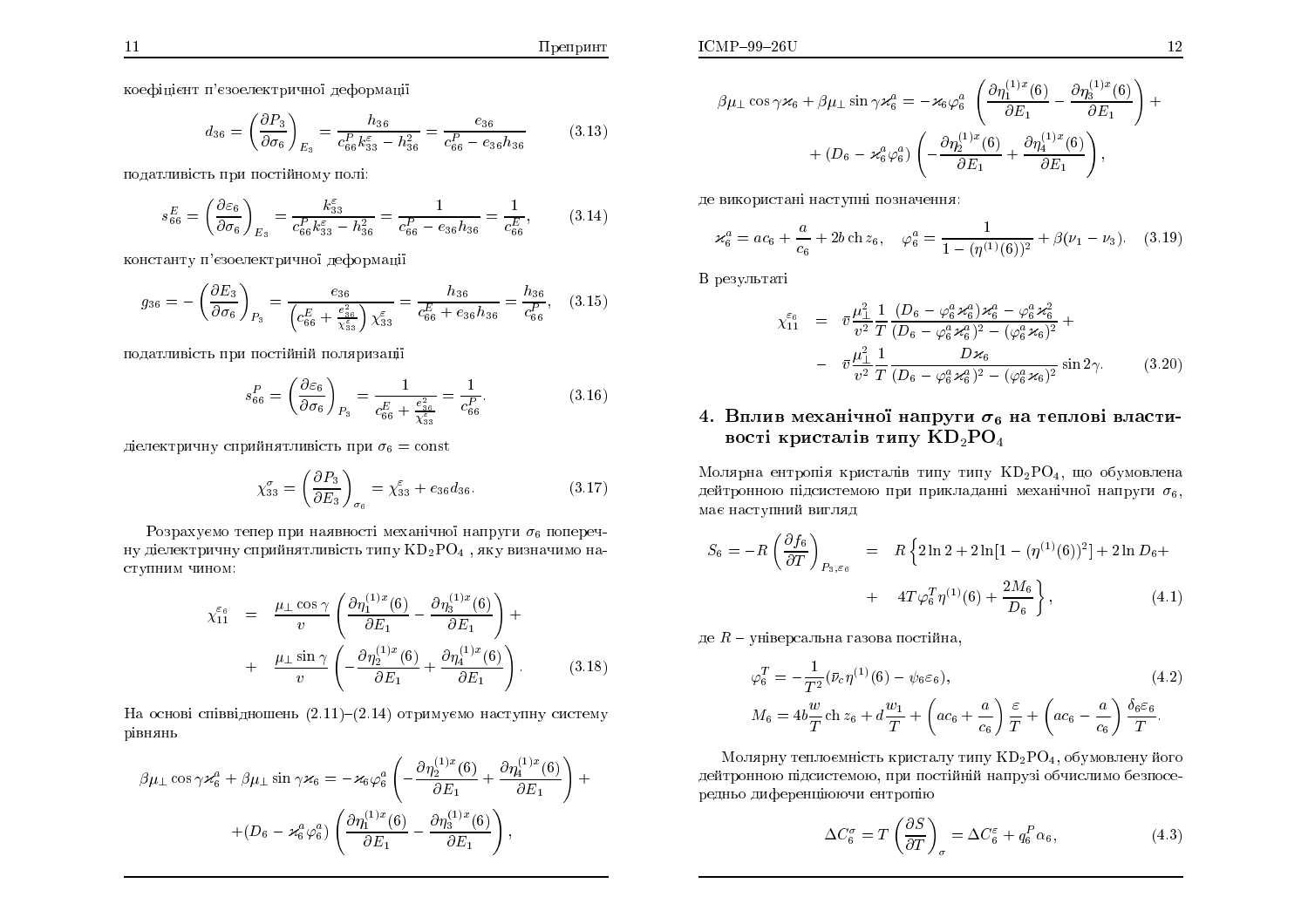$$
d_{36} = \left(\frac{\partial P_3}{\partial \sigma_6}\right)_{E_3} = \frac{h_{36}}{c_{66}^P k_{33}^{\varepsilon} - h_{36}^2} = \frac{e_{36}}{c_{66}^P - e_{36}h_{36}}\tag{3.13}
$$

податливість при постійному полі:<br>.

$$
s_{66}^{E} = \left(\frac{\partial \varepsilon_6}{\partial \sigma_6}\right)_{E_3} = \frac{k_{33}^{\varepsilon}}{c_{66}^{P} k_{33}^{\varepsilon} - h_{36}^{2}} = \frac{1}{c_{66}^{P} - e_{36} h_{36}} = \frac{1}{c_{66}^{E}},
$$
(3.14)

константу п'єзоелектричної деформації

$$
g_{36} = -\left(\frac{\partial E_3}{\partial \sigma_6}\right)_{P_3} = \frac{e_{36}}{\left(c_{66}^E + \frac{e_{36}^2}{\chi_{33}^2}\right)\chi_{33}^{\varepsilon}} = \frac{h_{36}}{c_{66}^E + e_{36}h_{36}} = \frac{h_{36}}{c_{66}^P}, \quad (3.15)
$$

податливість при постійній поляризаці<mark>ї</mark>

$$
s_{66}^P = \left(\frac{\partial \varepsilon_6}{\partial \sigma_6}\right)_{P_3} = \frac{1}{c_{66}^E + \frac{e_{36}^2}{\chi_{33}^{\varepsilon_3}}} = \frac{1}{c_{66}^P}.
$$
 (3.16)

діелектричну сприйнятливість при  $\sigma_6 = \mathrm{const}$ 

$$
\chi_{33}^{\sigma} = \left(\frac{\partial P_3}{\partial E_3}\right)_{\sigma_6} = \chi_{33}^{\varepsilon} + e_{36}d_{36}.\tag{3.17}
$$

Розрахуємо тепер при наявності механічної напруги  $\sigma_6$  поперечну діелектричну сприйнятливість типу  $\mathrm{KD_{2}PO_{4}}$  , яку визначимо наступним чином:

$$
\chi_{11}^{\varepsilon_6} = \frac{\mu_{\perp} \cos \gamma}{v} \left( \frac{\partial \eta_1^{(1)x}(6)}{\partial E_1} - \frac{\partial \eta_3^{(1)x}(6)}{\partial E_1} \right) + \n+ \frac{\mu_{\perp} \sin \gamma}{v} \left( -\frac{\partial \eta_2^{(1)x}(6)}{\partial E_1} + \frac{\partial \eta_4^{(1)x}(6)}{\partial E_1} \right).
$$
\n(3.18)

На основі співвідношень  $(2.11)$ – $(2.14)$  отримуємо наступну систему рівнянь

$$
\beta \mu_{\perp} \cos \gamma \varkappa_6^a + \beta \mu_{\perp} \sin \gamma \varkappa_6 = -\varkappa_6 \varphi_6^a \left( -\frac{\partial \eta_2^{(1)x}(6)}{\partial E_1} + \frac{\partial \eta_4^{(1)x}(6)}{\partial E_1} \right) +
$$

$$
+ (D_6 - \varkappa_6^a \varphi_6^a) \left( \frac{\partial \eta_1^{(1)x}(6)}{\partial E_1} - \frac{\partial \eta_3^{(1)x}(6)}{\partial E_1} \right),
$$

$$
\beta\mu_{\perp}\cos\gamma\varkappa_{6} + \beta\mu_{\perp}\sin\gamma\varkappa_{6}^{a} = -\varkappa_{6}\varphi_{6}^{a} \left(\frac{\partial\eta_{1}^{(1)x}(6)}{\partial E_{1}} - \frac{\partial\eta_{3}^{(1)x}(6)}{\partial E_{1}}\right) + + (D_{6} - \varkappa_{6}^{a}\varphi_{6}^{a}) \left(-\frac{\partial\eta_{2}^{(1)x}(6)}{\partial E_{1}} + \frac{\partial\eta_{4}^{(1)x}(6)}{\partial E_{1}}\right),
$$

де використані наступні позначення:

$$
\varkappa_6^a = ac_6 + \frac{a}{c_6} + 2b \operatorname{ch} z_6, \quad \varphi_6^a = \frac{1}{1 - (\eta^{(1)}(6))^2} + \beta(\nu_1 - \nu_3). \tag{3.19}
$$

B результаті

$$
\chi_{11}^{\varepsilon_6} = \bar{v} \frac{\mu_{\perp}^2}{v^2} \frac{1}{T} \frac{(D_6 - \varphi_6^a \varkappa_6^a) \varkappa_6^a - \varphi_6^a \varkappa_6^2}{(D_6 - \varphi_6^a \varkappa_6^a)^2 - (\varphi_6^a \varkappa_6)^2} +
$$

$$
- \bar{v} \frac{\mu_{\perp}^2}{v^2} \frac{1}{T} \frac{D \varkappa_6}{(D_6 - \varphi_6^a \varkappa_6^a)^2 - (\varphi_6^a \varkappa_6)^2} \sin 2\gamma. \tag{3.20}
$$

# 4. Вплив механічної напруги  $\sigma_6$  на теплові властивості кристалів типу  $\mathbf{KD}_2\mathbf{PO}_4$

Молярна ентропія кристалів типу типу  $\mathrm{KD_2PO_4},$  що обумовлена дейтронною підсистемою при прикладанні механічної напруги  $\sigma_6,$ має наступний вигляд

$$
S_6 = -R \left( \frac{\partial f_6}{\partial T} \right)_{P_3, \varepsilon_6} = R \left\{ 2 \ln 2 + 2 \ln \left[ 1 - (\eta^{(1)}(6))^2 \right] + 2 \ln D_6 + \right. \\ + 4T \varphi_6^T \eta^{(1)}(6) + \frac{2M_6}{D_6} \right\}, \tag{4.1}
$$

де  $R$  – універсальна газова постійна,

$$
\varphi_6^T = -\frac{1}{T^2} (\bar{\nu}_c \eta^{(1)}(6) - \psi_6 \varepsilon_6),
$$
\n
$$
M_6 = 4b \frac{w}{T} \operatorname{ch} z_6 + d \frac{w_1}{T} + \left( ac_6 + \frac{a}{c_6} \right) \frac{\varepsilon}{T} + \left( ac_6 - \frac{a}{c_6} \right) \frac{\delta_6 \varepsilon_6}{T}.
$$
\n(4.2)

Молярну теплоємність кристалу типу  $\mathrm{KD_2PO_4},$  обумовлену його дейтронною підсистемою, при постійній напрузі обчислимо безпосе-<br>. редньо диференціюючи ентропію<br>

$$
\Delta C_6^{\sigma} = T \left( \frac{\partial S}{\partial T} \right)_{\sigma} = \Delta C_6^{\varepsilon} + q_6^P \alpha_6, \tag{4.3}
$$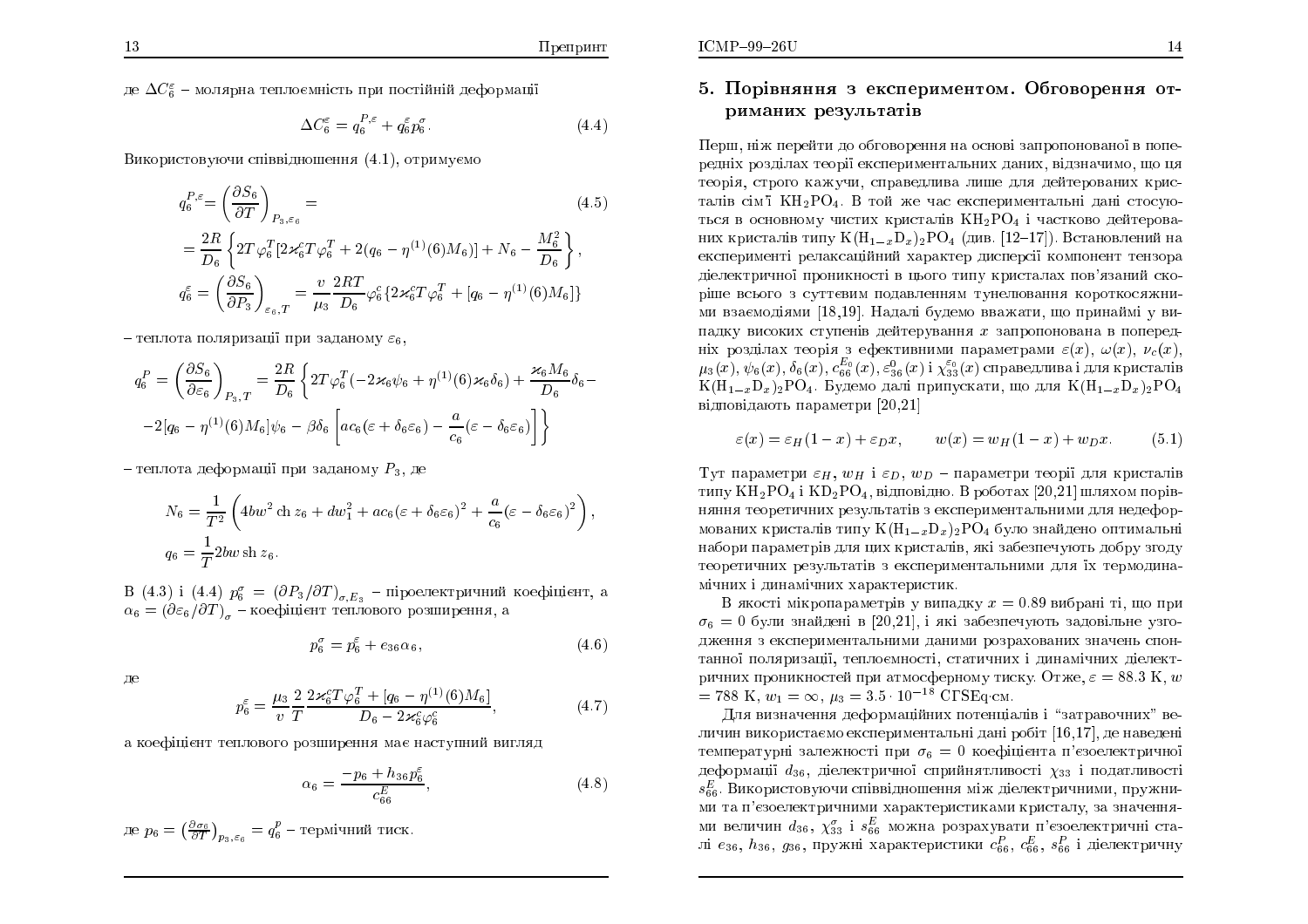де  $\Delta C_{\rm g}^{\varepsilon}$  – молярна теплоємність при постійній деформації

$$
\Delta C_6^{\varepsilon} = q_6^{P,\varepsilon} + q_6^{\varepsilon} p_6^{\sigma}.
$$
\n(4.4)

Використовуючи співвідношення (4.1), отримуємо

$$
q_6^{P,\varepsilon} = \left(\frac{\partial S_6}{\partial T}\right)_{P_3,\varepsilon_6} =
$$
\n
$$
= \frac{2R}{D_6} \left\{ 2T \varphi_6^T \left[ 2\varkappa_6^c T \varphi_6^T + 2(q_6 - \eta^{(1)}(6)M_6) \right] + N_6 - \frac{M_6^2}{D_6} \right\},
$$
\n
$$
q_6^{\varepsilon} = \left(\frac{\partial S_6}{\partial P_3}\right)_{\varepsilon_6, T} = \frac{v}{\mu_3} \frac{2RT}{D_6} \varphi_6^c \left\{ 2\varkappa_6^c T \varphi_6^T + [q_6 - \eta^{(1)}(6)M_6] \right\}
$$
\n(4.5)

- теплота поляризації при заданому  $\varepsilon_6$ ,

$$
q_6^P = \left(\frac{\partial S_6}{\partial \varepsilon_6}\right)_{P_3,T} = \frac{2R}{D_6} \left\{ 2T\varphi_6^T(-2\varkappa_6\psi_6 + \eta^{(1)}(6)\varkappa_6\delta_6) + \frac{\varkappa_6 M_6}{D_6} \delta_6 - \frac{2\left[q_6 - \eta^{(1)}(6)M_6\right]\psi_6 - \beta\delta_6 \left[ac_6(\varepsilon + \delta_6\varepsilon_6) - \frac{a}{c_6}(\varepsilon - \delta_6\varepsilon_6)\right] \right\}
$$

- теплота деформації при заданому  $P_3$ , де

$$
N_6 = \frac{1}{T^2} \left( 4bw^2 \operatorname{ch} z_6 + dw_1^2 + ac_6 (\varepsilon + \delta_6 \varepsilon_6)^2 + \frac{a}{c_6} (\varepsilon - \delta_6 \varepsilon_6)^2 \right)
$$
  

$$
q_6 = \frac{1}{T} 2bw \operatorname{sh} z_6.
$$

B (4.3) і (4.4)  $p_6^{\sigma} = (\partial P_3/\partial T)_{\sigma,E_3}$  — піроелектричний коефіцієнт, а  $\alpha_6 = (\partial \varepsilon_6/\partial T)_{\sigma}$  — коефіцієнт теплового розширення, а

$$
p_6^{\sigma} = p_6^{\varepsilon} + e_{36}\alpha_6, \tag{4.6}
$$

де

$$
p_6^{\varepsilon} = \frac{\mu_3}{v} \frac{2}{T} \frac{2\varkappa_6^c T \varphi_6^T + [q_6 - \eta^{(1)}(6)M_6]}{D_6 - 2\varkappa_6^c \varphi_6^c},
$$
\n(4.7)

а коефіцієнт теплового розширення має наступний вигляд

$$
\alpha_6 = \frac{-p_6 + h_{36}p_6^{\varepsilon}}{c_{66}^E},\tag{4.8}
$$

де 
$$
p_6 = \left(\frac{\partial \sigma_6}{\partial T}\right)_{p_3, \varepsilon_6} = q_6^p
$$
 – термічний тиск.

## 5. Порівняння з експериментом. Обговорення отриманих результатів

Перш, ніж перейти до обговорення на основі запропонованої в попередніх розділах теорії експериментальних даних, відзначимо, що ця теорія, строго кажучи, справедлива лише для дейтерованих кристалів сім'ї КН<sub>2</sub>РО<sub>4</sub>. В той же час експериментальні дані стосуються в основному чистих кристалів  $KH_{2}PO_{4}$  і частково дейтерованих кристалів типу  $K(H_{1-x}D_x)_2PO_4$  (див. [12-17]). Встановлений на експерименті релаксаційний характер дисперсії компонент тензора діелектричної проникності в цього типу кристалах пов'язаний скоріше всього з суттєвим подавленням тунелювання короткосяжними взаємодіями [18,19]. Надалі будемо вважати, що принаймі у випадку високих ступенів дейтерування  $x$  запропонована в попередніх розділах теорія з ефективними параметрами  $\varepsilon(x)$ ,  $\omega(x)$ ,  $\nu_c(x)$ ,  $\mu_3(x), \psi_6(x), \delta_6(x), c_{66}^{E_0}(x), \epsilon_{36}^{9}(x)$  і  $\chi_{33}^{\varepsilon_0}(x)$  справедлива і для кристалів  $K(H_{1-x}D_x)_2PO_4$ . Будемо далі припускати, що для  $K(H_{1-x}D_x)_2PO_4$ відповідають параметри [20,21]

$$
\varepsilon(x) = \varepsilon_H (1 - x) + \varepsilon_D x, \qquad w(x) = w_H (1 - x) + w_D x. \tag{5.1}
$$

Тут параметри  $\varepsilon_H$ ,  $w_H$  i  $\varepsilon_D$ ,  $w_D$  - параметри теорії для кристалів типу  $KH_2PO_4$  і  $KD_2PO_4$ , відповідно. В роботах [20,21] шляхом порівняння теоретичних результатів з експериментальними для недеформованих кристалів типу  $K(H_{1-x}D_x)_2PO_4$  було знайдено оптимальні набори параметрів для цих кристалів, які забезпечують добру згоду теоретичних результатів з експериментальними для їх термодинамічних і динамічних характеристик.

В якості мікропараметрів у випадку  $x = 0.89$  вибрані ті, що при  $\sigma_6 = 0$  були знайдені в [20,21], і які забезпечують задовільне узгодження з експериментальними даними розрахованих значень спонтанної поляризації, теплоємності, статичних і динамічних діелектричних проникностей при атмосферному тиску. Отже,  $\varepsilon = 88.3$  K, w = 788 K,  $w_1 = \infty$ ,  $\mu_3 = 3.5 \cdot 10^{-18}$  CTSEq.cm.

Для визначення деформаційних потенціалів і "затравочних" величин використаємо експериментальні дані робіт [16,17], де наведені температурні залежності при  $\sigma_6 = 0$  коефіцієнта п'єзоелектричної деформації  $d_{36}$ , діелектричної сприйнятливості  $\chi_{33}$  і податливості  $s_{66}^E$ . Використовуючи співвідношення між діелектричними, пружними та п'єзоелектричними характеристиками кристалу, за значеннями величин  $d_{36}$ ,  $\chi_{33}^{\sigma}$  і  $s_{66}^{E}$  можна розрахувати п'єзоелектричні сталі  $e_{36}$ ,  $h_{36}$ ,  $g_{36}$ , пружні характеристики  $c_{66}^P$ ,  $c_{66}^E$ ,  $s_{66}^P$  і діелектричну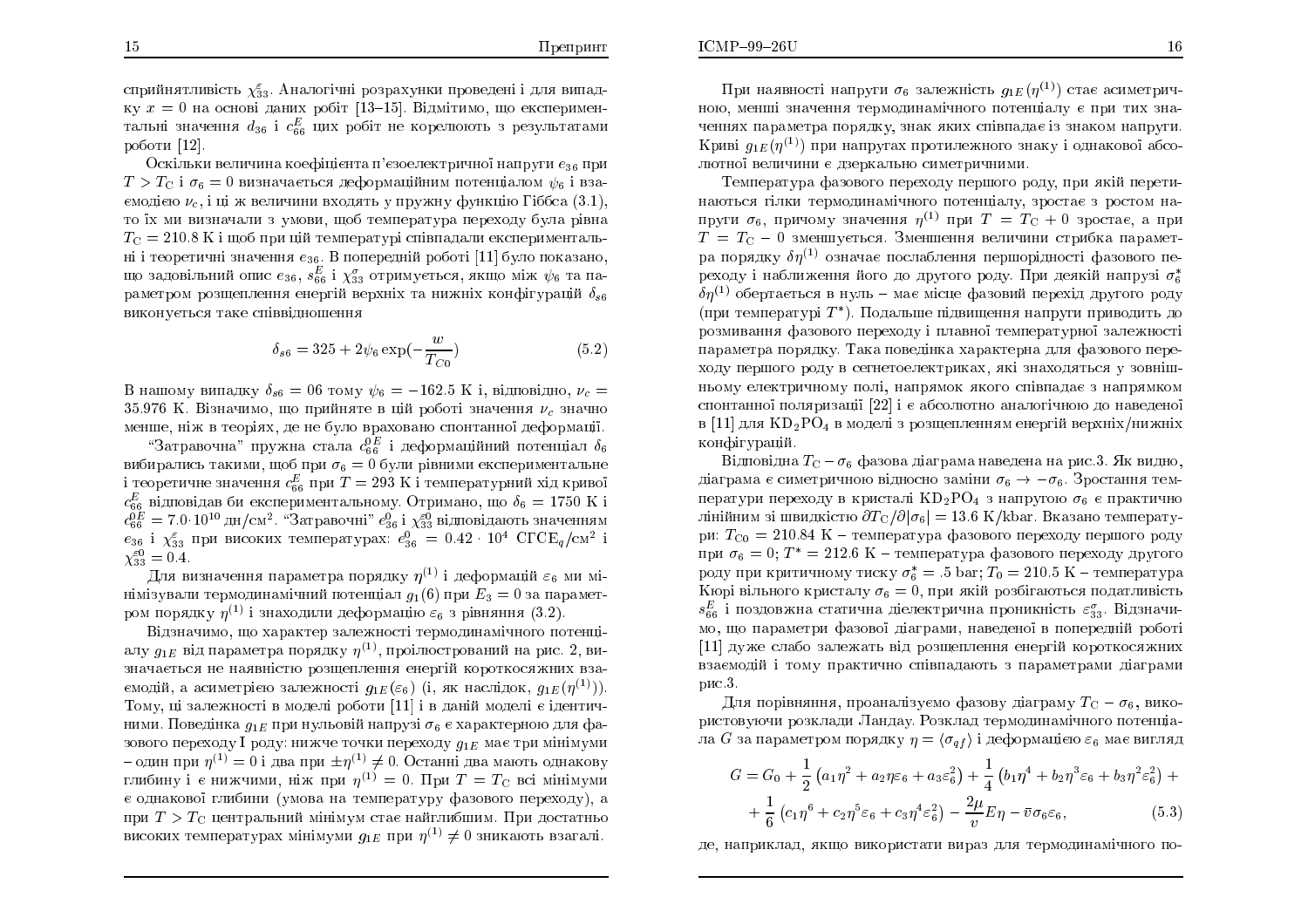сприйнятливість  $\chi_{33}^\varepsilon$ . Аналогічні розрахунки проведені і для випадку  $x=0$  на основі даних робіт [13–15]. Відмітимо, що експериментальні значення  $d_{36}$  і  $c_{66}^E$  цих робіт не корелюють з результатами роботи [12].

Оскільки величина коефіцієнта п'єзоелектричної напруги  $e_{36}$  при  $T>T_{\rm C}$  і  $\sigma_6=0$  визначається деформаційним потенціалом  $\psi_6$  і взаємодією  $\nu_c$ , і ці ж величини входять у пружну функцію Гіббса  $(3.1)$ , то їх ми визначали з умови, щоб температура переходу була рівна<br>—  $T_{\rm C} = 210.8~{\rm K}$  і щоб при цій температурі співпадали експериментальні і теоретичні значення  $e_{36}$ . В попередній роботі [11] було показано, що задовільний опис  $e_{36},$   $s_{66}^E$  і  $\chi_{33}^\sigma$  отримується, якщо між  $\psi_6$  та параметром розщеплення енергій верхніх та нижніх конфігурацій  $\delta_{s6}$ виконується таке співвідношення

$$
\delta_{s6} = 325 + 2\psi_6 \exp(-\frac{w}{T_{C0}})
$$
\n(5.2)

В нашому випадку  $\delta_{s6} = 06$  тому  $\psi_6 = -162.5$  K i, відповідно,  $\nu_c =$  $35.976\,$  K. Візначимо, що прийняте в цій роботі значення  $\nu_c$  значно менше, ніж в теоріях, де не було враховано спонтанної деформації.<br>"Заправання" пришив ата та е<sup>0Е</sup> і пофариаційний полешіал б

"Затравочна" пружна стала  $c_{66}^{0E}$  і деформаційний потенціал  $\delta_6$ вибирались такими, щоб при  $\sigma_6 = 0$  були рівними експериментальне і теоретичне значення  $c_{66}^E$  при  $T=293\ {\rm K}$  і температурний хід кривої 1 теоретичне значення  $c_{66}^E$  при 1 = 293 K 1 температурнии хід кривої $c_{66}^E$  відповідав би експериментальному. Отримано, що  $\delta_6 = 1750$  K і $c_{66}^E = 7.0 {\cdot} 10^{10}$  дн/см $^2$ . "Затравочні"  $e_{36}^0$  і  $\chi_{33}^{e0}$  в  $66\,$  $c_{66}^{0E} = 7.0 \cdot 10^{10}$  дн/см<sup>2</sup>. "Затравочні"  $e_{36}^{0}$  і  $\chi_{33}^{50}$  відповідають значенням<br> $e_{36}^{0}$  і  $\chi_{33}^{5}$  при високих температурах:  $e_{36}^{0} = 0.42 \cdot 10^{4} \, \text{ C}\Gamma\text{CE}_{q}/\text{cm}^{2}$  і  $\chi_{33}^{\varepsilon 0} = 0.4.$ 

Для визначення параметра порядку  $\eta^{(1)}$  і деформацій  $\varepsilon_6$  ми мінімізували термодинамічний потенціал  $g_1(6)$  при  $E_3 = 0$  за параметром порядку  $\eta^{(1)}$  і знаходили деформацію  $\varepsilon_6$  з рівняння (3.2).

Відзначимо, що характер залежності термодинамічного потенціалу  $g_{1E}$  від параметра порядку  $\eta^{(1)},$  проілюстрований на рис. 2, визначається не наявністю розщеплення енергій короткосяжних взаємодій, а асиметрією залежності  $g_{1E}(\varepsilon_6)$  (і, як наслідок,  $g_{1E}(\eta^{(1)}))$ ). Тому, ці залежності в моделі роботи  $\left[ 11\right]$  і в даній моделі є ідентичними. Поведінка  $g_{1E}$  при нульовій напрузі  $\sigma_6$  є характерною для фазового переходу I роду: нижче точки переходу  $g_{1E}$  має три мінімуми  ${\cal J}$ один при  $\eta^{(1)}=0$  і два при  $\pm\eta^{(1)}\neq 0$ . Останні два мають однакову глибину і є нижчими, ніж при  $\eta^{(1)}=0$ . При  $T=T_{\rm C}$  всі мінімуми є однакової глибини (умова на температуру фазового переходу), а при  $T>T_{\rm C}$  центральний мінімум стає найглибшим. При достатньо високих температурах мінімуми  $g_{1E}$  при  $\eta^{(1)} \neq 0$  зникають взагалі.

При наявності напруги  $\sigma_6$  залежність  $g_{1E}(\eta^{(1)})$  стає асиметричною, менші значення термодинамічного потенціалу є при тих значеннях параметра порядку, знак яких співпадає із знаком напруги.<br>———————————————————— Криві  $g_{1E}(\eta^{(1)})$  при напругах протилежного знаку і однакової абсолютної величини є дзеркально симетричними.

Температура фазового переходу першого роду, при якій перетинаються гілки термодинамічного потенціалу, зростає з ростом напруги  $\sigma_6$ , причому значення  $\eta^{(1)}$  при  $T=T_{\rm C}+0$  зростає, а при  $T=T_{\rm C} =0$  зменшується. Зменшення величини стрибка параметра порядку  $\delta \eta^{(1)}$  означає послаблення першорідності фазового переходу і наближення його до другого роду. При деякій напрузі  $\sigma_6^*$  $\delta\eta^{(1)}$  обертається в нуль — має місце фазовий перехід другого роду (при температурі  $T^*$ ). Подальше підвищення напруги приводить до розмивання фазового переходу і плавної температурної залежності параметра порядку. Така поведінка характерна для фазового пере<mark>-</mark> ходу першого роду в сегнетоелектриках, які знаходяться у зовнішньому електричному полі, напрямок якого співпадає з напрямком спонтанної поляризації [22] і є абсолютно аналогічною до наведеної<br>Підари АТАРО в  $[11]$  для  $\rm{KD_{2}PO_{4}}$  в моделі з розщепленням енергій верхніх/нижніх конфігурацій.

Відповідна  $T_{\rm C}-\sigma_6$  фазова діаграма наведена на рис.3. Як видно, діаграма є симетричною відносно заміни  $\sigma_6 \rightarrow -\sigma_6$ . Зростання температури переходу в кристалі  $\mathrm{KD_2PO_4}$  з напругою  $\sigma_6$  є практично лінійним зі швидкістю  $\partial T_{\rm C}/\partial |\sigma_6|=13.6~{\rm K/kbar}$ . Вказано температури:  $T_{\rm CO} = 210.84$  K – температура фазового переходу першого роду при  $\sigma_6 = 0$ ;  $T^* = 212.6$  K – температура фазового переходу другого роду при критичному тиску  $\sigma_6^* = .5$  bar;  $T_0 = 210.5$  K – температура Кюрі вільного кристалу  $\sigma_6 = 0$ , при якій розбігаються податливість  $s_{66}^E$  і поздовжна статична дієлектрична проникність  $\varepsilon_{33}^{\sigma}$ . Відзначимо, що параметри фазової діаграми, наведеної в попередній роботі  $\left[ 11\right]$  дуже слабо залежать від розщеплення енергій короткосяжних взаємодій і тому практично співпадають з параметрами діаграми рис. $3$ .

Для порівняння, проаналізуємо фазову діаграму  $T_{\rm C}-\sigma_6$ , використовуючи розклади Ландау. Розклад термодинамічного потенціала  $G$  за параметром порядку  $\eta=\langle\sigma_{qf}\rangle$  і деформацією  $\varepsilon_6$  має вигляд

$$
G = G_0 + \frac{1}{2} \left( a_1 \eta^2 + a_2 \eta \varepsilon_6 + a_3 \varepsilon_6^2 \right) + \frac{1}{4} \left( b_1 \eta^4 + b_2 \eta^3 \varepsilon_6 + b_3 \eta^2 \varepsilon_6^2 \right) + + \frac{1}{6} \left( c_1 \eta^6 + c_2 \eta^5 \varepsilon_6 + c_3 \eta^4 \varepsilon_6^2 \right) - \frac{2\mu}{v} E \eta - \bar{v} \sigma_6 \varepsilon_6, \tag{5.3}
$$

де, наприклад, якщо використати вираз для термодинамічного по-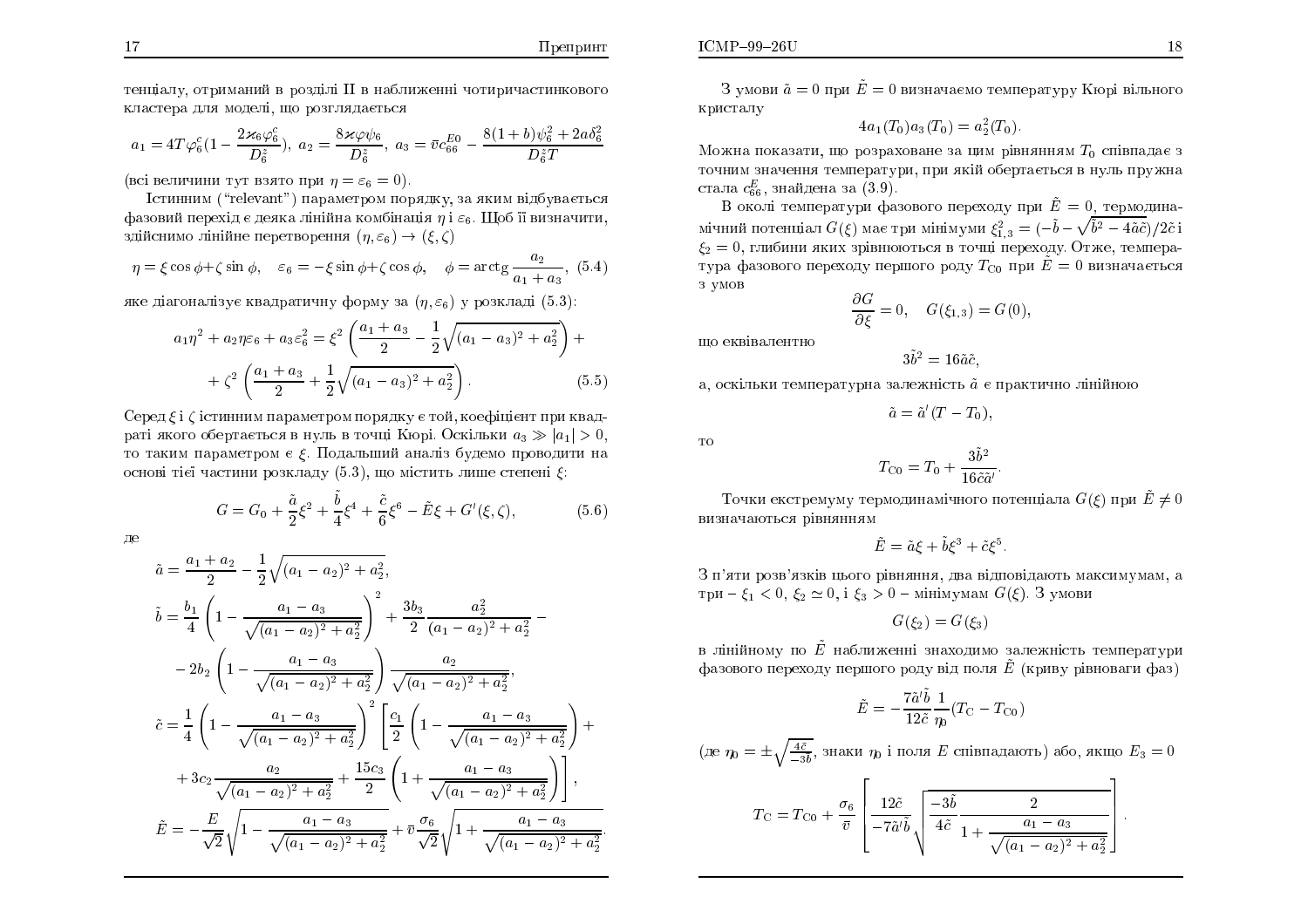тенціалу, отриманий в розділі II в наближенні чотиричастинкового кластера для моделі, що розглядаєть<mark>ся</mark>

$$
a_1 = 4T\varphi_6^c(1 - \frac{2\varkappa_6\varphi_6^c}{D_6^z}), \ a_2 = \frac{8\varkappa\varphi\psi_6}{D_6^z}, \ a_3 = \bar{v}c_{66}^{E0} - \frac{8(1+b)\psi_6^2 + 2a\delta_6^2}{D_6^zT}
$$

(всі величини тут взято при  $\eta = \varepsilon_6 = 0$ ).

 ¶ÓÔÉÎÎÉÍ (\relevant") ÁÒÁÍÅÔÒÏÍ ÏÒÑÄËÕ, ÚÁ ÑËÉÍ ×ÄÂÕ×Á¤ÔØÓÑ фазовий перехід є деяка лінійна комбінація  $\eta$  і  $\varepsilon_6$ . Щоб її визначити, здійснимо лінійне перетворення  $(\eta, \varepsilon_6) \to (\xi, \zeta)$ 

$$
\eta = \xi \cos \phi + \zeta \sin \phi, \quad \varepsilon_6 = -\xi \sin \phi + \zeta \cos \phi, \quad \phi = \arctg \frac{a_2}{a_1 + a_3}, \tag{5.4}
$$

яке діагоналізує квадратичну форму за  $(\eta,\varepsilon_6)$  у розкладі  $(5.3)$ :

$$
a_1\eta^2 + a_2\eta\varepsilon_6 + a_3\varepsilon_6^2 = \xi^2 \left(\frac{a_1 + a_3}{2} - \frac{1}{2}\sqrt{(a_1 - a_3)^2 + a_2^2}\right) + \xi^2 \left(\frac{a_1 + a_3}{2} + \frac{1}{2}\sqrt{(a_1 - a_3)^2 + a_2^2}\right).
$$
 (5.5)

 $\operatorname{Cep}$ ед  $\xi$  і  $\zeta$  істинним параметром порядку є той, коефіцієнт при квадраті якого обертається в нуль в точці Кюрі. Оскільки  $a_3 \gg |a_1| > 0,$ то таким параметром є б. Подадь ший анадіз будемо проводити на то таким параметром є ξ. Подальший аналіз будемо проводити на основі тієї частини розкладу  $(5.3)$ , що містить лише степені  $\xi$ :

$$
G = G_0 + \frac{\tilde{a}}{2}\xi^2 + \frac{\tilde{b}}{4}\xi^4 + \frac{\tilde{c}}{6}\xi^6 - \tilde{E}\xi + G'(\xi, \zeta),
$$
 (5.6)

Дe

$$
\tilde{a} = \frac{a_1 + a_2}{2} - \frac{1}{2} \sqrt{(a_1 - a_2)^2 + a_2^2},
$$
\n
$$
\tilde{b} = \frac{b_1}{4} \left( 1 - \frac{a_1 - a_3}{\sqrt{(a_1 - a_2)^2 + a_2^2}} \right)^2 + \frac{3b_3}{2} \frac{a_2^2}{(a_1 - a_2)^2 + a_2^2} - 2b_2 \left( 1 - \frac{a_1 - a_3}{\sqrt{(a_1 - a_2)^2 + a_2^2}} \right) \frac{a_2}{\sqrt{(a_1 - a_2)^2 + a_2^2}},
$$
\n
$$
\tilde{c} = \frac{1}{4} \left( 1 - \frac{a_1 - a_3}{\sqrt{(a_1 - a_2)^2 + a_2^2}} \right)^2 \left[ \frac{c_1}{2} \left( 1 - \frac{a_1 - a_3}{\sqrt{(a_1 - a_2)^2 + a_2^2}} \right) + 3c_2 \frac{a_2}{\sqrt{(a_1 - a_2)^2 + a_2^2}} + \frac{15c_3}{2} \left( 1 + \frac{a_1 - a_3}{\sqrt{(a_1 - a_2)^2 + a_2^2}} \right) \right],
$$
\n
$$
\tilde{E} = -\frac{E}{\sqrt{2}} \sqrt{1 - \frac{a_1 - a_3}{\sqrt{(a_1 - a_2)^2 + a_2^2}} + \bar{v} \frac{\sigma_6}{\sqrt{2}} \sqrt{1 + \frac{a_1 - a_3}{\sqrt{(a_1 - a_2)^2 + a_2^2}}}.
$$

 $\mathrm{G}\xspace$ умови  $\tilde{a}=0$  при  $\tilde{E}=0$  визначаємо температуру Кюрі вільного кристалу

$$
4a_1(T_0)a_3(T_0) = a_2^2(T_0).
$$

Можна показати, що розраховане за цим рівнянням  $T_0$  співпадає з точним значення температури, при якій обертається в нуль пружна<br>Гадович II стала  $c_{66}^E$ , знайдена за  $(3.9)$ .

В околі температури фазового переходу при  $\tilde{E} = 0$ , термодинамічний потенціал  $G(\xi)$  має три мінімуми  $\xi_{1,3}^2 = (-\tilde{b} - \sqrt{\tilde{b}^2 - 4\tilde{a}\tilde{c}})/2\tilde{c}$  і  $\xi_2 = 0$ , глибини яких зрівнюються в точці переходу. Отже, температура фазового переходу першого роду  $T_{\rm C0}$  при  $\tilde{E}=0$  визначається з умов

$$
\frac{\partial G}{\partial \xi} = 0, \quad G(\xi_{1,3}) = G(0),
$$

 $\scriptstyle\rm III$ о еквівалентно

 $ICMP-99-26U$ 

$$
3\tilde{b}^2=16\tilde{a}\tilde{c},
$$

а, оскільки температурна залежність  $\tilde{a}$  є практично лінійною

$$
\tilde{a}=\tilde{a}'(T-T_0),
$$

ÔÏ

$$
T_{\rm C0}=T_0+\frac{3\tilde{b}^2}{16\tilde{c}\tilde{a}'}
$$

Точки екстремуму термодинамічного потенціала  $G(\xi)$  при  $\tilde{E}\neq 0$ ×ÉÚÎÁÞÁÀÔØÓÑ <sup>Ò</sup>×ÎÑÎÎÑÍ

$$
\tilde{E} = \tilde{a}\xi + \tilde{b}\xi^3 + \tilde{c}\xi^5.
$$

З п'яти розв'язків цього рівняння, два відповідають максимумам, а три –  $\xi_1 < 0, \, \xi_2 \simeq 0, \, \text{i} \, \, \xi_3 > 0$  – мінімумам  $G(\xi)$ . З умови

 $G(\xi_2) = G(\xi_3)$ 

в лінійному по  $\tilde{E}$  наближенні знаходимо залежність температури фазового переходу першого роду від поля  $\tilde{E}$  (криву рівноваги фаз)

$$
\tilde{E} = -\frac{7\tilde{a}'\tilde{b}}{12\tilde{c}}\frac{1}{\eta_0}(T_{\rm C} - T_{\rm C0})
$$

(де  $\eta_0 =$ 士  $\pm\sqrt{\frac{4\bar{c}}{-3\bar{b}}},$  знаки  $\eta_0$  і поля  $E$  співпадають) або, якщо  $E_3=0$ 

$$
T_{\rm C} = T_{\rm C0} + \frac{\sigma_6}{\bar{v}} \left[ \frac{12\tilde{c}}{-7\tilde{a}'\tilde{b}} \sqrt{\frac{-3\tilde{b}}{4\tilde{c}}} \frac{2}{1 + \frac{a_1 - a_3}{\sqrt{(a_1 - a_2)^2 + a_2^2}}} \right].
$$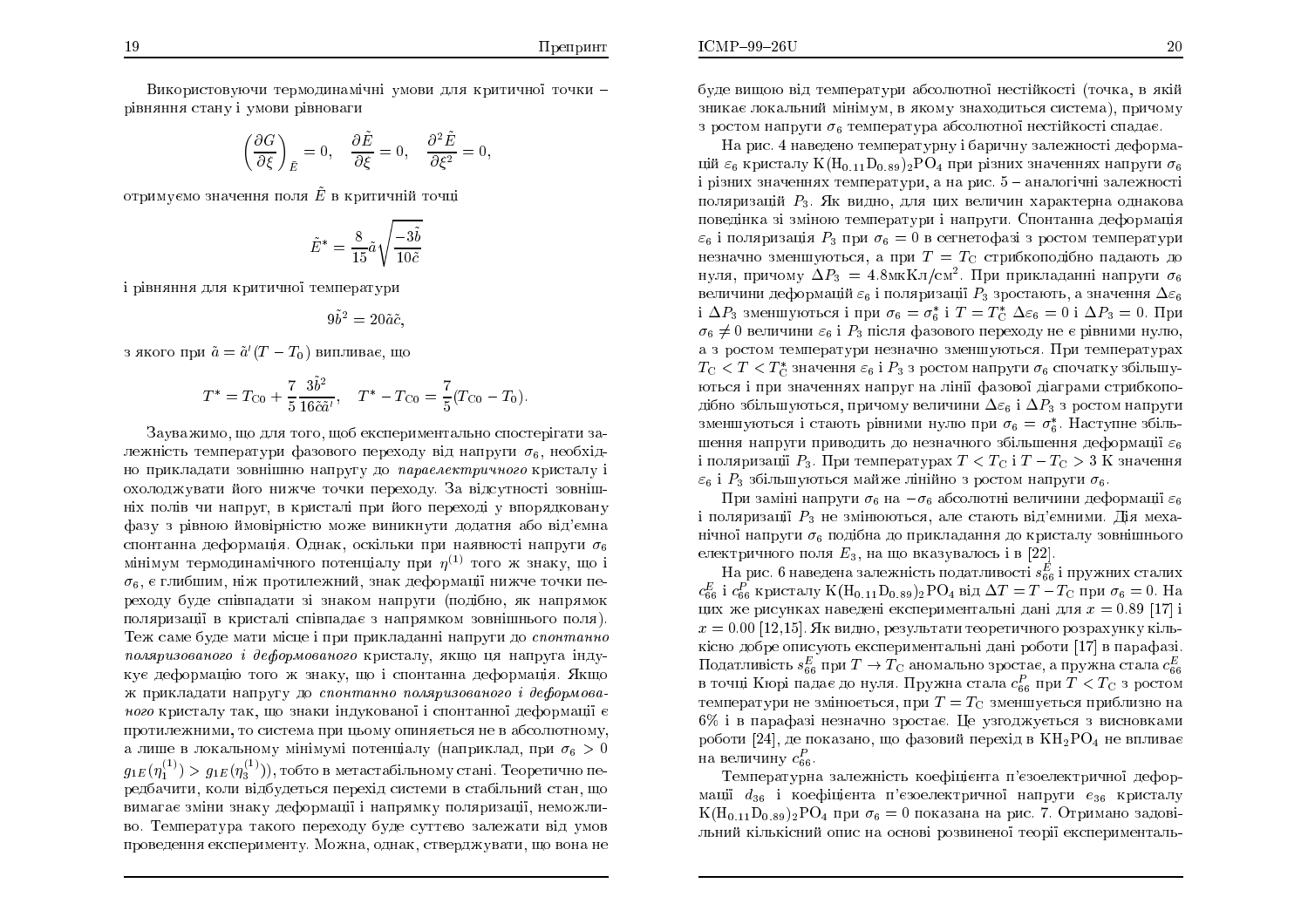$ICMP-99-26U$ 

Використовуючи термодинамічні умови для критичної точки рівняння стану і умови рівноваги<br>```

> $\left(\frac{\partial G}{\partial \xi}\right)_{\bar{E}}=0, \quad \frac{\partial \tilde{E}}{\partial \xi}=0,$  $\frac{\partial^2 \tilde{E}}{\partial \xi^2}=0,$

отримуємо значення поля  $\tilde{E}$  в критичній точці

$$
\tilde{E}^* = \frac{8}{15}\tilde{a}\sqrt{\frac{-3\tilde{b}}{10\tilde{c}}}
$$

і рівняння для критичної температури

$$
9\tilde{b}^2 = 20\tilde{a}\tilde{c},
$$

з якого при  $\tilde{a} = \tilde{a}'(T-T_0)$  випливає, що

$$
T^* = T_{\text{C}0} + \frac{7}{5} \frac{3\tilde{b}^2}{16\tilde{c}\tilde{a}'}, \quad T^* - T_{\text{C}0} = \frac{7}{5}(T_{\text{C}0} - T_0).
$$

Зауважимо, що для того, щоб експериментально спостерігати залежність температури фазового переходу від напруги  $\sigma_6$ , необхідно прикладати зовнішню напругу до *параелектричного* кристалу і<br>... охолоджувати його нижче точки переходу. За відсутності зовніш<mark>-</mark> ніх полів чи напруг, в кристалі при його переході у впорядковану<br>. фазу з рівною ймовірністю може виникнути додатня або від'ємна<br>С спонтанна деформація. Однак, оскільки при наявності напруги  $\sigma_6$ мінімум термодинамічного потенціалу при  $\eta^{(1)}$  того ж знаку, що і  $\sigma_6$ , є глибшим, ніж протилежний, знак деформації нижче точки переходу буде співпадати зі знаком напруги (подібно, як напрямок<br>——————————————————— поляризації в кристалі співпадає з напрямком зовнішнього поля).<br>T Теж саме буде мати місце і при прикладанні напруги до *спонтанно*<br>полятивостися і добегилосцьке уписле її сино на неприне інши поляризованого і деформованого кристалу, якщо ця напруга індукує деформацію того ж знаку, що і спонтанна деформація. Якщо ж прикладати напругу до *спонтанно поляризованого і деформова*н*ого* кристалу так, що знаки індукованої і спонтанної деформації є протилежними, то система при цьому опиняється не в абсолютному,<br> а лише в локальному мінімумі потенціалу (наприклад, при  $\sigma_6 > 0$  $g_{1E}\big(\eta_1^{(1)}) > g_{1E}(\eta_3^{(1)})\big)$ , тобто в метастабільному стані. Теоретично передбачити, коли відбудеться перехід системи в стабільний стан, що вимагає зміни знаку деформації і напрямку поляризації, неможливо. Температура такого переходу буде суттєво залежати від умов проведення експерименту. Можна, однак, стверджувати, що вона не буде вищою від температури абсолютної нестійкості (точка, в якій<br>Солоснозникає локальний мінімум, в якому знаходиться система), причому з ростом напруги  $\sigma_6$  температура абсолютної нестійкості спадає.

На рис. 4 наведено температурну і баричну залежності деформацій  $\varepsilon_6$  кристалу  $\rm K(H_{0.11}D_{0.89})_2PO_4$  при різних значеннях напруги  $\sigma_6$ і різних значеннях температури, а на рис.  $5$  – аналогічні залежності поляризацій  $P_3$ . Як видно, для цих величин характерна однакова поведінка зі зміною температури і напруги. Спонтанна деформація<br>Сиб  $\varepsilon_6$  і поляризація  $P_3$  при  $\sigma_6 = 0$  в сегнетофазі з ростом температури незначно зменшуються, а при  $T=T_{\rm C}$  стрибкоподібно падають до нуля, причому  $\Delta P_3 = 4.8$ мк $\mathrm{K}$ л $/\mathrm{cm}^2$ . При прикладанні напруги  $\sigma_6$ величини деформацій  $\varepsilon_6$  і поляризації  $P_3$  зростають, а значення  $\Delta\varepsilon_6$ і  $\Delta P_3$  зменшуються і при  $\sigma_6 = \sigma_6^*$  і  $T = T_{\rm C}^*$   $\Delta \varepsilon_6 = 0$  і  $\Delta P_3 = 0$ . При  $\sigma_6\neq 0$  величини  $\varepsilon_6$  і  $P_3$  після фазового переходу не є рівними нулю, а з ростом температури незначно зменшуються. При температурах  $T_{\rm C} < T < T_{\rm C}^*$  значення  $\varepsilon_6$  і  $P_3$  з ростом напруги  $\sigma_6$  спочатку збільшуються і при значеннях напруг на лінії фазової діаграми стрибкоподібно збільшуються, причому величини  $\Delta\varepsilon_6$  і  $\Delta P_3$  з ростом напруги зменшуються і стають рівними нулю при  $\sigma_6 = \sigma_6^*$ . Наступне збільшення напруги приводить до незначного збільшення деформації  $\varepsilon_6$ і поляризації  $P_3$ . При температурах  $T < T_{\rm C}$  і  $T-T_{\rm C} > 3$  K значення  $\varepsilon_6$  і  $P_3$  збільшуються майже лінійно з ростом напруги  $\sigma_6$ 

При заміні напруги  $\sigma_6$  на  $-\sigma_6$  абсолютні величини деформації  $\varepsilon_6$ і поляризації  $P_3$  не змінюються, але стають від'ємними. Дія механічної напруги  $\sigma_6$  подібна до прикладання до кристалу зовнішнього електричного поля  $E_3$ , на що вказувалось і в  $[22]$ .

На рис. 6 наведена залежність податливості  $s^{E}_{66}$  і пружних сталих  $c_{66}^E$  i  $c_{66}^P$  кристалу  $K(H_{0.11}D_{0.89})_2PO_4$  від  $\Delta T = T - T_C$  при  $\sigma_6 = 0$ . На цих же рисунках наведені експериментальні дані для  $x = 0.89$  [17] і  $x = 0.00 \, [12, 15]$ . Як видно, результати теоретичного розрахунку кіль- ËÓÎÏ ÄÏÂÒÅ ÏÉÓÕÀÔØ ÅËÓÅÒÉÍÅÎÔÁÌØÎ ÄÁÎ ÒÏÂÏÔÉ [17℄ <sup>×</sup> ÁÒÁÆÁÚ. Податливість  $s_{66}^E$  при  $T\to T_{\rm C}$  аномально зростає, а пружна стала  $c_{66}^E$ в точці Кюрі падає до нуля. Пружна стала  $c_{66}^P$  при  $T < T_{\rm C}^-$ з ростом температури не змінюється, при  $T=T_{\rm C}$  зменшується приблизно на 6% і в парафазі незначно зростає. Це узгоджується з висновками<br>работи <sup>[94]</sup>, до токовоко, що фородий пороців в <sup>КН</sup>РО, не пришле роботи [24], де показано, що фазовий перехід в  $\rm{KH_{2}PO_{4}}$  не впливає на величину  $c_{66}^P$ .

Температурна залежність коефіцієнта п'єзоелектричної деформації  $d_{36}$  і коефіцієнта п'єзоелектричної напруги  $e_{36}$  кристалу  $K(H_{0.11}D_{0.89})_2PO_4$  при  $\sigma_6 = 0$  показана на рис. 7. Отримано задовільний кількісний опис на основі розвиненої теорії експерименталь-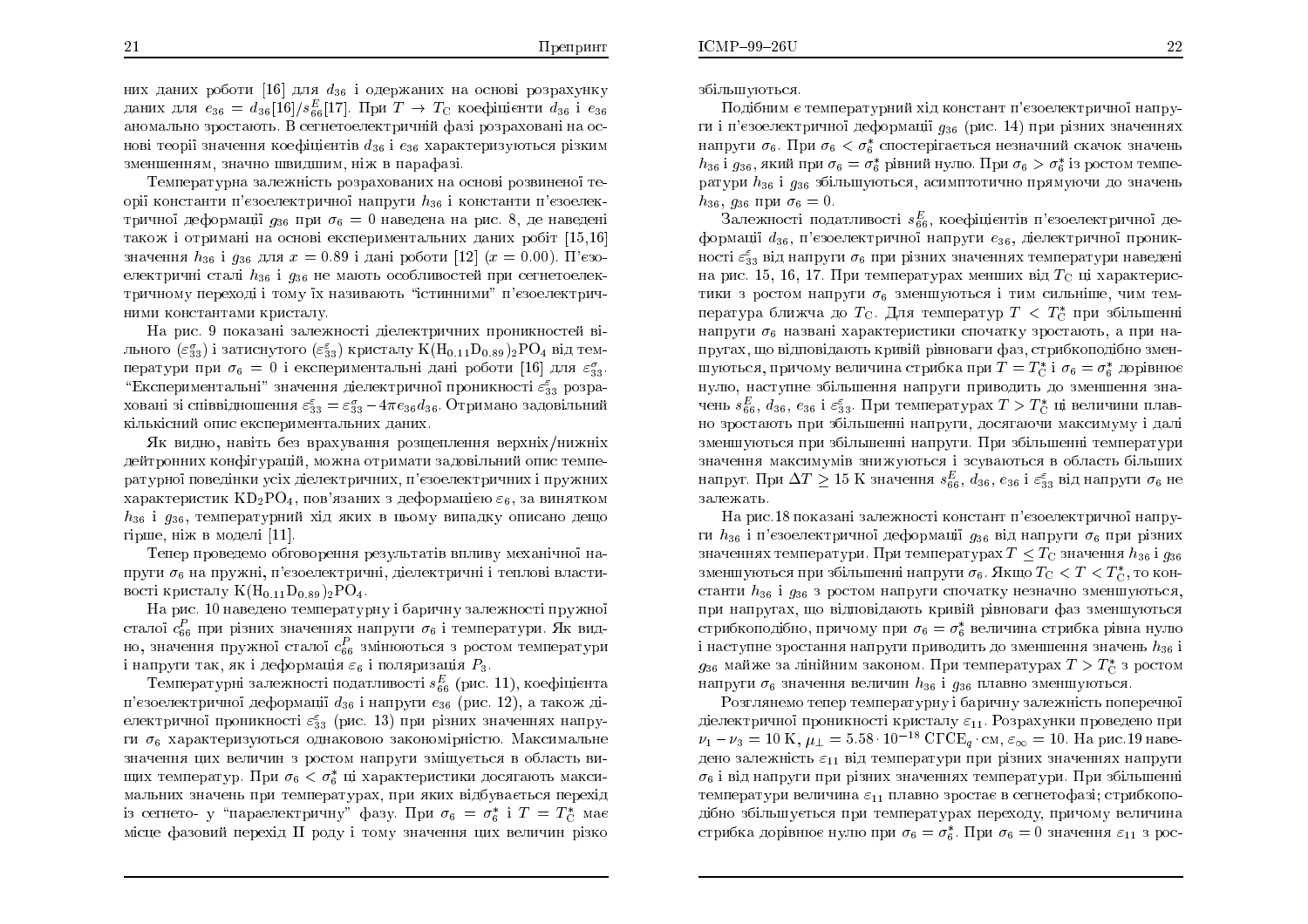21

них даних роботи [16] для  $d_{36}$  і одержаних на основі розрахунку даних для  $e_{36} = d_{36} [16]/s_{66}^E [17]$ . При  $T \rightarrow T_{\rm C}$  коефіцієнти  $d_{36}$  і  $e_{36}$ <br>эномально зростають. В сегнетоелектричній фазі розраховані на ос аномально зростають. В сегнетоелектричній фазі розраховані на основі теорії значення коефіцієнтів  $d_{36}$  і  $e_{36}$  характеризуються різким зменшенням, значно швидшим, ніж в парафазі.<br>Поитавленные волошинсть повращенными не

Температурна залежність розрахованих на основі розвиненої теорії константи п'єзоелектричної напруги  $h_{36}$  і константи п'єзоелек $\cdot$ тричної деформації  $g_{36}$  при  $\sigma_6 = 0$  наведена на рис. 8, де наведені $\sigma_6 = 0$ також і отримані на основі експериментальних даних робіт [15,16]<br>окологичесь і і сослава в О.80 і долі робели [19] (д. 0.00). П'єро значення  $h_{36}$  і  $g_{36}$  для  $x = 0.89$  і дані роботи [12]  $(x = 0.00)$ . П'єзоелектричні сталі  $h_{36}$  і  $g_{36}$  не мають особливостей при сегнетоелектричному переході і тому <mark>ї</mark>х називають "істинними" п'єзоелектричними константами кристалу.

На рис. 9 показані залежності діелектричних проникностей вільного  $(\varepsilon_{33}^{\sigma})$  і затиснутого  $(\varepsilon_{33}^{\varepsilon})$  кристалу  $\rm{K}(\rm{H}_{0.11}D_{0.89})_{2}PO_{4}$  від температури при  $\sigma_6 = 0$  і експериментальні дані роботи  $[16]$  для  $\varepsilon_{33}^{\sigma}$ . "Експериментальні" значення діелектричної проникності  $\varepsilon^{\varepsilon}_{33}$  розраховані зі співвідношення  $\varepsilon_{33}^{\varepsilon} = \varepsilon_{33}^{\sigma} - 4\pi e_{36}d_{36}$ . Отримано задовільний кількісний опис експериментальних даних.<br>.

<mark>Я</mark>к видно, навіть без врахування розщеплення верхніх/нижніх дейтронних конфігурацій, можна отримати задовільний опис температурної поведінки усіх діелектричних, п'єзоелектричних і пружних<br>. характеристик  $\mathrm{KD_2PO_4},$  пов'язаних з деформацією  $\varepsilon_6,$  за винятком  $h_{36}$  і  $g_{36}$ , температурний хід яких в цьому випадку описано дещо гірше, ніж в моделі [11].<br>Синистратура 1965

Тепер проведемо обговорення результатів впливу механічної напруги  $\sigma_6$  на пружні, п'єзоелектричні, діелектричні і теплові властивості кристалу  $K(\mathrm{H}_{0.11}\,\mathrm{D}_{0.89})_2\mathrm{PO}_4.$ 

На рис. 10 наведено температурну і баричну залежності пружної<br>Г сталої  $c_{66}^P$  при різних значеннях напруги  $\sigma_6$  і температури. Як видно, значення пружної сталої  $c^P_{66}$  змінюються з ростом температури і напруги так, як і деформація  $\varepsilon_6$  і поляризація  $P_3$ .

Температурні залежності податливості  $s_{66}^E$  (рис. 11), коефіцієнта п'єзоелектричної деформації  $d_{36}$  і напруги  $e_{36}$  (рис. 12), а також діелектричної проникності  $\varepsilon^{\varepsilon}_{33}$  (рис. 13) при різних значеннях напруги  $\sigma_6$  характеризуються однаковою закономірністю. Максимальне значення цих величин з ростом напруги зміщується в область вищих температур. При  $\sigma_6 < \sigma_6^*$  ці характеристики досягають максимальних значень при температурах, при яких відбувається перехід із сегнето- у "параелектричну" фазу. При  $\sigma_6 = \sigma_6^*$  і  $T = T_C^*$  має місце фазовий перехід II роду і тому значення цих величин різко збільшуються.

ðÏÄÂÎÉÍ ¤ ÔÅÍÅÒÁÔÕÒÎÉ<sup>Ê</sup> ÈÄ ËÏÎÓÔÁÎÔ '¤ÚÏÅÌÅËÔÒÉÞÎϧ ÎÁÒÕги і п'єзоелектричної деформації  $g_{36}$  (рис. 14) при різних значеннях напруги  $\sigma_6$ .  $\Pi$ ри  $\sigma_6 < \sigma_6^*$  спостерігається незначний скачок значень  $h_{36}$  і  $g_{36,}$  який при  $\sigma_6 = \sigma_6^*$  рівний нулю. При  $\sigma_6 > \sigma_6^*$  із ростом температури  $h_{36}$  і  $g_{36}$  збільшуються, асимптотично прямуючи до значень  $h_{36}, g_{36}$  при  $\sigma_6 = 0.$ 

Залежності податливості  $s_{66}^E$ , коефіцієнтів п'єзоелектричної деформації  $d_{36}$ , п'єзоелектричної напруги  $e_{36}$ , діелектричної проникності  $\varepsilon_{33}^{\varepsilon}$  від напруги  $\sigma_{6}$  при різних значеннях температури наведені на рис. 15, 16, 17. При температурах менших від  $T_{\rm C}$  ці характеристики з ростом напруги  $\sigma_6$  зменшуються і тим сильніше, чим температура ближча до  $T_{\rm C}$ . Для температур  $T < T_{\rm C}^*$  при збільшенні $\sim$ напруги  $\sigma_6$  названі характеристики спочатку зростають, а при напругах, що відповідають кривій рівноваги фаз, стрибкоподібно зменшуються, причому величина стрибка при  $T = T_C^*$  і  $\sigma_6 = \sigma_6^*$  дорівнює нулю, наступне збільшення напруги приводить до зменшення зна-ÞÅÎØ <sup>s</sup>E66, d36, e36 ""33. ðÒÉ ÔÅÍÅÒÁÔÕÒÁÈ <sup>T</sup> <sup>&</sup>gt; <sup>T</sup> C  ×ÅÌÉÞÉÎÉ ÌÁ× но зростають при збільшенні напруги, досягаючи максимуму і далі зменшуються при збільшенні напруги. При збільшенні температури значення максимумів знижуються і зсуваються в область більших напруг. При  $\Delta T \geq 15$  K значення  $s_{66}^E, d_{36}, e_{36}$  і  $\varepsilon_{33}^{\varepsilon}$  від напруги  $\sigma_6$  не залежать

На рис.18 показані залежності констант п'єзоелектрично<mark>ї</mark> напруги  $h_{36}$  і п'єзоелектричної деформації  $g_{36}$  від напруги  $\sigma_6$  при різних значеннях температури. При температурах  $T\leq T_{\rm C}$  значення  $h_{36}$  і  $g_{36}$ зменшуються при збільшенні напруги  $\sigma_6$ . Якщо  $T_{\rm C} < T < T_{\rm C}^*$ , то константи  $h_{36}$  і  $g_{36}$  з ростом напруги спочатку незначно зменшуються, при напругах, що відповідають кривій рівноваги фаз зменшуються стрибкоподібно, причому при  $\sigma_6 = \sigma_6^*$  величина стрибка рівна нулю і наступне зростання напруги приводить до зменшення значень  $h_{\bf 36}$  і  $g_{36}$  майже за лінійним законом. При температурах  $T > T_C^*$  з ростом<br>не прини за отворили водиниц  $h$  , i.e., предне отворились от напруги  $\sigma_6$  значення величин  $h_{36}$  і  $g_{36}$  плавно зменшуються.

Розглянемо тепер температурну і баричну залежність поперечної<br> діелектричної проникності кристалу  $\varepsilon_{11}$ . Розрахунки проведено при  $\nu_1 - \nu_3 = 10 \text{ K}, \mu_{\perp} = 5.58 \cdot 10^{-18} \text{ C} \Gamma \text{C} \text{E}_q \cdot \text{cm}, \varepsilon_{\infty} = 10. \text{ Ha } \text{prc}.19 \text{ ha}$ дено залежність  $\varepsilon_{11}$  від температури при різних значеннях напруги  $\sigma_6$  і від напруги при різних значеннях температури. При збільшенні температури величина  $\varepsilon_{11}$  плавно зростає в сегнетофазі; стрибкоподібно збільшується при температурах переходу, причому величина стрибка дорівнює нулю при  $\sigma_6 = \sigma_6^*$ . При  $\sigma_6 = 0$  значення  $\varepsilon_{11}$  з рос-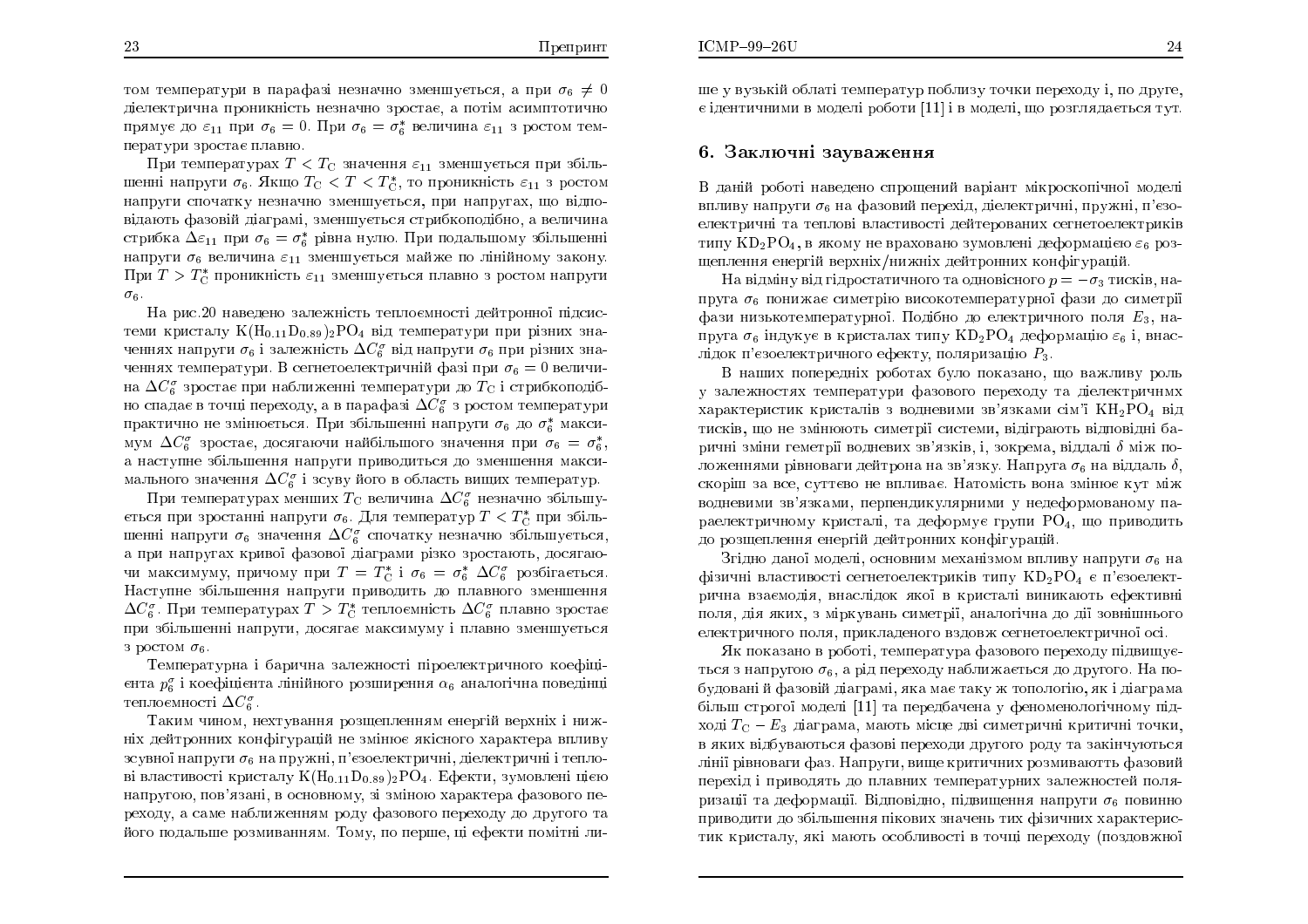том температури в парафазі незначно зменшується, а при  $\sigma_6 \neq 0$ діелектрична проникність незначно зростає, а потім асимптотично<br>Соборової прямує до  $\varepsilon_{11}$  при  $\sigma_6 = 0$ . При  $\sigma_6 = \sigma_6^*$  величина  $\varepsilon_{11}$  з ростом температури зростає плавно.

При температурах  $T < T_{\rm C}$  значення  $\varepsilon_{11}$  зменшується при збільшенні напруги  $\sigma_6$ . Якщо  $T_{\rm C} < T < T_{\rm C}^*$ , то проникність  $\varepsilon_{11}$  з ростом напруги спочатку незначно зменшується, при напругах, що відповідають фазовій діаграмі, зменшується стрибкоподібно, а величина<br> стрибка  $\Delta\varepsilon_{11}$  при  $\sigma_6 = \sigma_6^*$  рівна нулю. При подальшому збільшенні напруги  $\sigma_6$  величина  $\varepsilon_{11}$  зменшується майже по лінійному закону.<br>— — — — При  $T>T_{\rm C}^*$  проникність  $\varepsilon_{11}$  зменшується плавно з ростом напруги $^ \sigma_6$ .

На рис.20 наведено залежність теплоємності дейтронної підсистеми кристалу  $K(\mathrm{H}_{0.11}\mathrm{D}_{0.89})_2\mathrm{PO}_4$  від температури при різних значеннях напруги  $\sigma_6$  і залежність  $\Delta C_6^{\sigma}$  від напруги  $\sigma_6$  при різних значеннях температури. В сегнетоелектричній фазі при  $\sigma_6 = 0$  величина  $\Delta C_6^{\sigma}$  зростає при наближенні температури до  $T_{\rm C}$  і стрибкоподібно спадає в точці переходу, а в парафазі  $\Delta C_{6}^{\sigma}$  з ростом температури практично не змінюється. При збільшенні напруги  $\sigma_6$  до  $\sigma_6^*$  максимум  $\Delta C_6^{\sigma}$  зростає, досягаючи найбільшого значення при  $\sigma_6 = \sigma_6^*$  $\frac{A}{n}$   $\frac{A}{n}$   $\frac{A}{n}$   $\frac{B}{n}$   $\frac{C}{6}$   $\frac{C}{6}$ ,  $\frac{C}{6}$ ,  $\frac{C}{6}$ ,  $\frac{C}{6}$ ,  $\frac{C}{6}$ ,  $\frac{C}{6}$ ,  $\frac{C}{6}$ ,  $\frac{C}{6}$ ,  $\frac{C}{6}$ ,  $\frac{C}{6}$ ,  $\frac{C}{6}$ ,  $\frac{C}{6}$ ,  $\frac{C}{6}$ ,  $\frac{C}{6}$ ,  $\frac{C}{6}$ ,  $\frac{C$ мального значення  $\Delta C^{\sigma}_{6}$  і зсуву його в область вищих температур.

 $\Pi$ ри температурах менших  $T_{\rm C}$  величина  $\Delta C_6^{\sigma}$  незначно збільшується при зростанні напруги  $\sigma_6$ . Для температур  $T < T_{\rm C}^*$  при збіль- $\mu$ шенні напруги  $\sigma_6$  значення  $\Delta C^{\sigma}_{6}$  спочатку незначно збільшується, а при напругах кривої фазової діаграми різко зростають, досягаючи максимуму, причому при  $T=T_{\rm C}^*$  і  $\sigma_6 = \sigma_6^*$   $\Delta C_6^{\sigma}$  розбігається.<br>Настинна абільшення подруги други при отношли на подряго поситичних Наступне збільшення напруги приводить до плавного зменшення<br>. . . . .  $\Delta C_6^{\sigma}$ . При температурах  $T>T_{\rm C}^*$  теплоємність  $\Delta C_6^{\sigma}$  плавно зростає при збільшенні напруги, досягає максимуму і плавно зменшується з ростом  $\sigma_6$ .

Температурна і барична залежності піроелектричного коефіцієнта  $p_6^{\sigma}$  і коефіцієнта лінійного розширення  $\alpha_6$  аналогічна поведінці теплоємності  $\Delta C_6^{\sigma}$ 

лосяності 10<sub>6</sub><br>Таким чином, нехтування розщепленням енергій верхніх і нижніх дейтронних конфігурацій не змінює якісного характера впливу<br>. зсувної напруги  $\sigma_6$  на пружні, п'єзоелектричні, діелектричні і теплові властивості кристалу  $\rm K(H_{0.11}D_{0.89})_2PO_4$ . Ефекти, зумовлені цією напругою, пов'язані, в основному, зі зміною характера фазового переходу, а саме наближенням роду фазового переходу до другого та<br>... його подальше розмиванням. Тому, по перше, ці ефекти помітні лише у вузькій облаті температур поблизу точки переходу і, по друге,  $\rm \epsilon$  ідентичними в моделі роботи  $\rm [11]$  і в моделі, що розглядається тут.

### 6. Заключні зауваження

В даній роботі наведено спрощений варіант мікроскопічної моделі впливу напруги  $\sigma_6$  на фазовий перехід, діелектричні, пружні, п'єзоелектричні та теплові властивості дейтерованих сегнетоелектриків<br>. типу  $\mathrm{KD_2PO_4},$  в якому не враховано зумовлені деформацією  $\varepsilon_6$  розщеплення енергій верхніх/нижніх дейтронних конфігурацій.

На відміну від гідростатичного та одновісного  $p=-\sigma_3$  тисків, напруга  $\sigma_6$  понижає симетрію високотемпературної фази до симетрії<br>' фази низькотемпературної. Подібно до електричного поля  $E_3$ , напруга  $\sigma_6$  індукує в кристалах типу  $KD_2PO_4$  деформацію  $\varepsilon_6$  і, внаслідок п'єзоелектричного ефекту, поляризацію  $P_3$ .

В наших попередніх роботах було показано, що важливу роль у залежностях температури фазового переходу та діелектричнмх характеристик кристалів з водневими зв'язками сім'ї  $\rm{KH_{2}PO_{4}}$  від тисків, що не змінюють симетрії системи, відіграють відповідні баричні зміни геметрії водневих зв'язків, і, зокрема, віддалі  $\delta$  між по- $\epsilon$ ложеннями рівноваги дейтрона на зв'язку. Напруга  $\sigma_6$  на віддаль  $\delta,$ скоріш за все, суттєво не впливає. Натомість вона змінює кут між<br>, водневими зв'язками, перпендикулярними у недеформованому параелектричному кристалі, та деформує групи  $\mathrm{PO}_4$ , що приводить до розщеплення енергій дейтронних конфігурацій.<br>.

Згідно даної моделі, основним механізмом впливу напруги  $\sigma_6$  на фізичні властивості сегнетоелектриків типу  $\mathrm{KD_2PO_4}$  є п'єзоелектрична взаємодія, внаслідок якої в кристалі виникають ефективні поля, дія яких, з міркувань симетрії, аналогічна до дії зовнішнього електричного поля, прикладеного вздовж сегнетоелектричної осі.<br>Фидровався в работі дочновання фававава севеною пільниц

<u>Як показано в роботі, температура фазового переходу підвищує-</u> ться з напругою  $\sigma_6$ , а рід переходу наближається до другого. На побудовані й фазовій діаграмі, яка має таку ж топологію, як і діаграма<br>більш створеї медолі [11] до деводбована и фонеманалейшами лід більш строгої моделі [11] та передбачена у феноменологічному під-<br>Синистрії Добитального становительного і становительного становите ході  $T_{\rm C}-E_3$  діаграма, мають місце дві симетричні критичні точки, в яких відбуваються фазові переходи другого роду та закінчуються лінії рівноваги фаз. Напруги, вище критичних розмиваютть фазовий перехід і приводять до плавних температурних залежностей поляризації та деформації. Відповідно, підвищення напруги  $\sigma_6$  повинно приводити до збільшення пікових значень тих фізичних характеристик кристалу, які мають особливості в точці переходу (поздовжно<mark>ї</mark>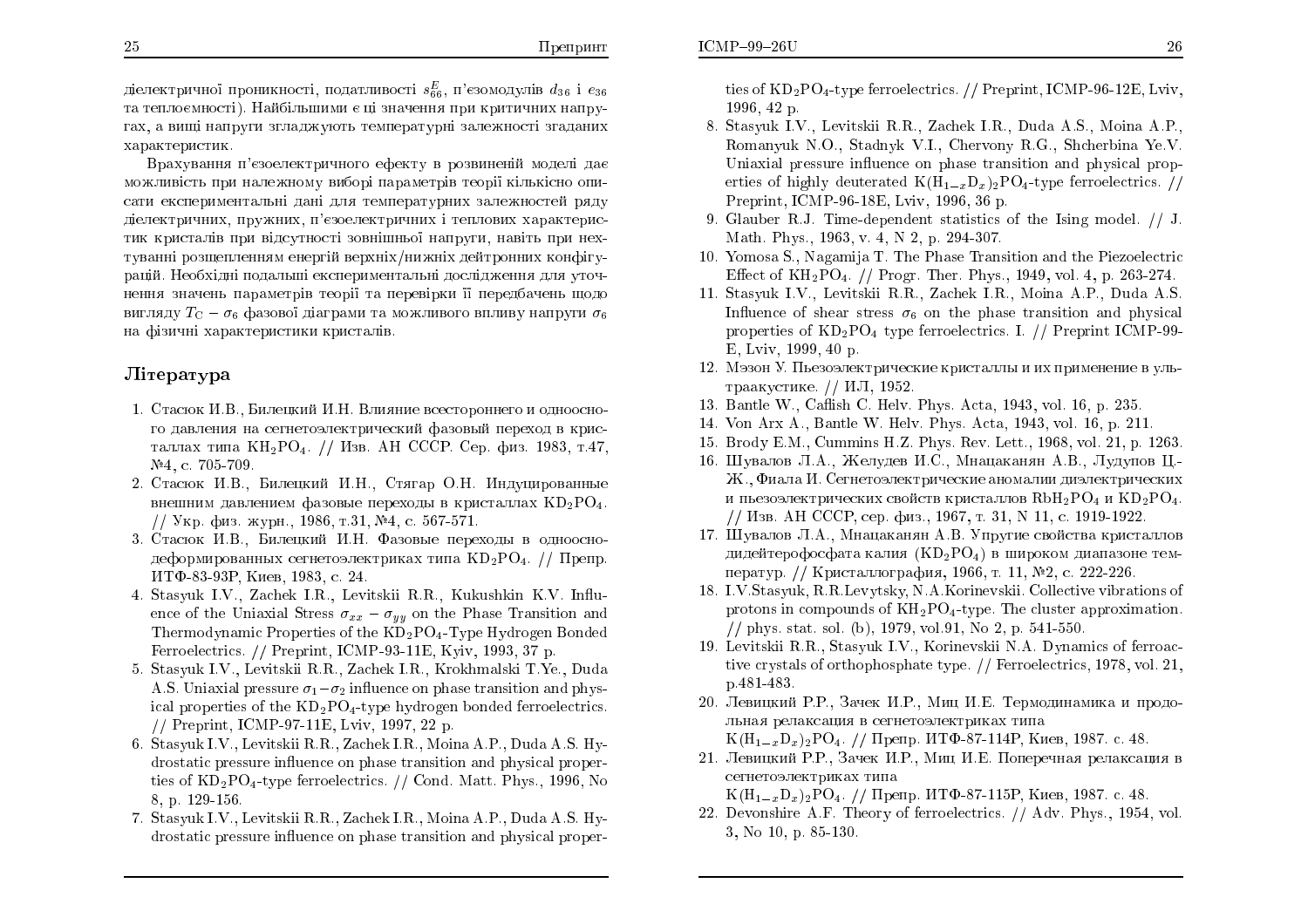діелектричної проникності, податливості  $s^E_{66}$ , п'єзомодулів  $d_{36}$  і  $e_{36}$ та теплоємності). Найбільшими є ці значення при критичних напругах, а вищі напруги згладжують температурні залежності згаданих характеристик.

Врахування п'єзоелектричного ефекту в розвиненій моделі дає можливість при належному виборі параметрів теорі<mark>ї</mark> кількісно описати експериментальні дані для температурних залежностей ряду діелектричних, пружних, п'єзоелектричних і теплових характеристик кристалів при відсутності зовнішньої напруги, навіть при нех-ÔÕ×ÁÎÎ ÒÏÚÝÅÌÅÎÎÑÍ ÅÎÅÒÇÊ ×ÅÒÈÎÈ/ÎÉÖÎÈ ÄÅÊÔÒÏÎÎÉÈ ËÏÎÆÇÕрацій. Необхідні подальші експериментальні дослідження для уточнення значень параметрів теорії та перевірки її передбачень щодо вигляду  $T_\mathrm{C} - \sigma_6$  фазової діаграми та можливого впливу напруги  $\sigma_6$ на фізичні характеристики кристалів.<br>.

## **J**ireparypa

- 1. Стасюк И.В., Билецкий И.Н. Влияние всестороннего и одноосного давления на сегнетоэлектрический фазовый переход в кристаллах типа КН2РО4. // Изв. АН СССР. Сер. физ. 1983, т.47,<br>№4. - 705,700 №4, с. 705-709.
- 2. Стасюк И.В., Билецкий И.Н., Стягар О.Н. Индуцированные внешним давлением фазовые переходы в кристаллах  $KD_2PO_4$ . // Укр. физ. журн., 1986, т.31, №4, с. 567-571.
- 3. Стасюк И.В., Билецкий И.Н. Фазовые переходы в однооснодеформированных сегнетоэлектриках типа  $\mathrm{KD_2PO_4}$ . //  $\mathrm{II}$ репр. ИТФ-83-93Р, Киев, 1983, с. 24.
- 4. Stasyuk I.V., Za
hek I.R., Levitskii R.R., Kukushkin K.V. In
uence of the Uniaxial Stress  $\sigma_{xx}-\sigma_{yy}$  on the Phase Transition and  $\rm The {r {m}}$ odynamic Properties of the  $\rm{KD_2PO_4\text{-}Type}$  Hydrogen Bonded Ferroele
tri
s. // Preprint, ICMP-93-11E, Kyiv, 1993, <sup>37</sup> p.
- 5. Stasyuk I.V., Levitskii R.R., Za
hek I.R., Krokhmalski T.Ye., Duda A.S. Uniaxial pressure  $\sigma_1 - \sigma_2$  influence on phase transition and physical properties of the  $KD_2PO_4$ -type hydrogen bonded ferroelectrics. // Preprint, ICMP-97-11E, Lviv, 1997, <sup>22</sup> p.
- 6. Stasyuk I.V., Levitskii R.R., Za
hek I.R., Moina A.P., Duda A.S. Hydrostati pressure in
uen
e on <sup>p</sup>hase transition and <sup>p</sup>hysi
al properties of  $\text{KD}_2\text{PO}_4\text{-type}$  ferroelectrics. // Cond. Matt. Phys., 1996, No 8, p. 129-156.
- 7. Stasyuk I.V., Levitskii R.R., Za
hek I.R., Moina A.P., Duda A.S. Hydrostatic pressure influence on phase transition and physical proper-

ties of  $\text{KD}_2\text{PO}_4\text{-type}$  ferroelectrics. // Preprint, ICMP-96-12E, Lviv, 1996, 42 p.

- 8. Stasyuk I.V., Levitskii R.R., Za
hek I.R., Duda A.S., Moina A.P., Romanyuk N.O., Stadnyk V.I., Chervony R.G., Sh
herbina Ye.V.Uniaxial pressure influence on phase transition and physical properties of highly deuterated  $\text{K}(\text{H}_{1-x}\text{D}_{x})_{2}\text{PO}_{4}\text{-type}$  ferroelectrics. // Preprint, ICMP-96-18E, Lviv, 1996, 36 p.
- 9. Glauber R.J. Time-dependent statisti
s of the Ising model. // J. Math. Phys., 1963, v. 4, N 2, p. 294-307.
- 10.Yomosa S., Nagamija T. The Phase Transition and the Piezoele
tri Effect of  $KH_2PO_4$ . // Progr. Ther. Phys., 1949, vol. 4, p. 263-274.
- 11. Stasyuk I.V., Levitskii R.R., Za
hek I.R., Moina A.P., Duda A.S. Influence of shear stress  $\sigma_6$  on the phase transition and physical properties of  $\text{KD}_2\text{PO}_4$  type ferroelectrics. I. // Preprint ICMP-99-E, Lviv, 1999, 40 p.
- 12. Мэзон У. Пьезоэлектрические кристаллы и их применение в ультраакустике. // ИЛ, 1952.
- 13. Bantle W., Ca
ish C. Helv. Phys. A
ta, 1943, vol. 16, p. 235.
- 14.Von Arx A., Bantle W. Helv. Phys. A
ta, 1943, vol. 16, p. 211.
- 15. Brody E.M., Cummins H.Z. Phys. Rev. Lett., 1968, vol. 21, p. 1263.
- 16. Шувалов Л.А., Желудев И.С., Мнацаканян А.В., Лудупов Ц.-Ж., Фиала И. Сегнетоэлектрические аномалии диэлектрических и пьезоэлектрических свойств кристаллов  $\mathrm{RbH_2PO_4}$  и  $\mathrm{KD_2PO_4}.$ // Изв. АН СССР, сер. физ., 1967, т. 31, N 11, с. 1919-1922.<br>Ш
- 17. Шувалов Л.А., Мнацаканян А.В. Упругие свойства кристаллов дидейтерофосфата калия  $(KD_2PO_4)$  в широком диапазоне температур. // Кристаллография, 1966, т. 11, №2, с. 222-226.
- 18. I.V.Stasyuk, R.R.Levytsky, N.A.Korinevskii. Colle
tive vibrations of protons in compounds of  $KH_2PO_4$ -type. The cluster approximation. // <sup>p</sup>hys. stat. sol. (b), 1979, vol.91, No 2, p. 541-550.
- 19. Levitskii R.R., Stasyuk I.V., Korinevskii N.A. Dynami
s of ferroa
 tive crystals of orthophosphate type. // Ferroelectrics, 1978, vol. 21, p.481-483.
- 20. Левицкий Р.Р., Зачек И.Р., Миц И.Е. Термодинамика и продольная релаксация в сегнетоэлектриках типа  $K(H_{1-x}D_x)_2PO_4.$  // Препр. ИТФ-87-114Р, Киев, 1987. с. 48.
- 21. Левицкий Р.Р., Зачек И.Р., Миц И.Е. Поперечная релаксация в сегнетоэлектриках типа  $K(H_{1-x}D_x)_2PO_4.$  // Препр. ИТФ-87-115Р, Киев, 1987. с. 48.
- 22. Devonshire A.F. Theory of ferroelectrics. // Adv. Phys., 1954, vol. 3, No 10, p. 85-130.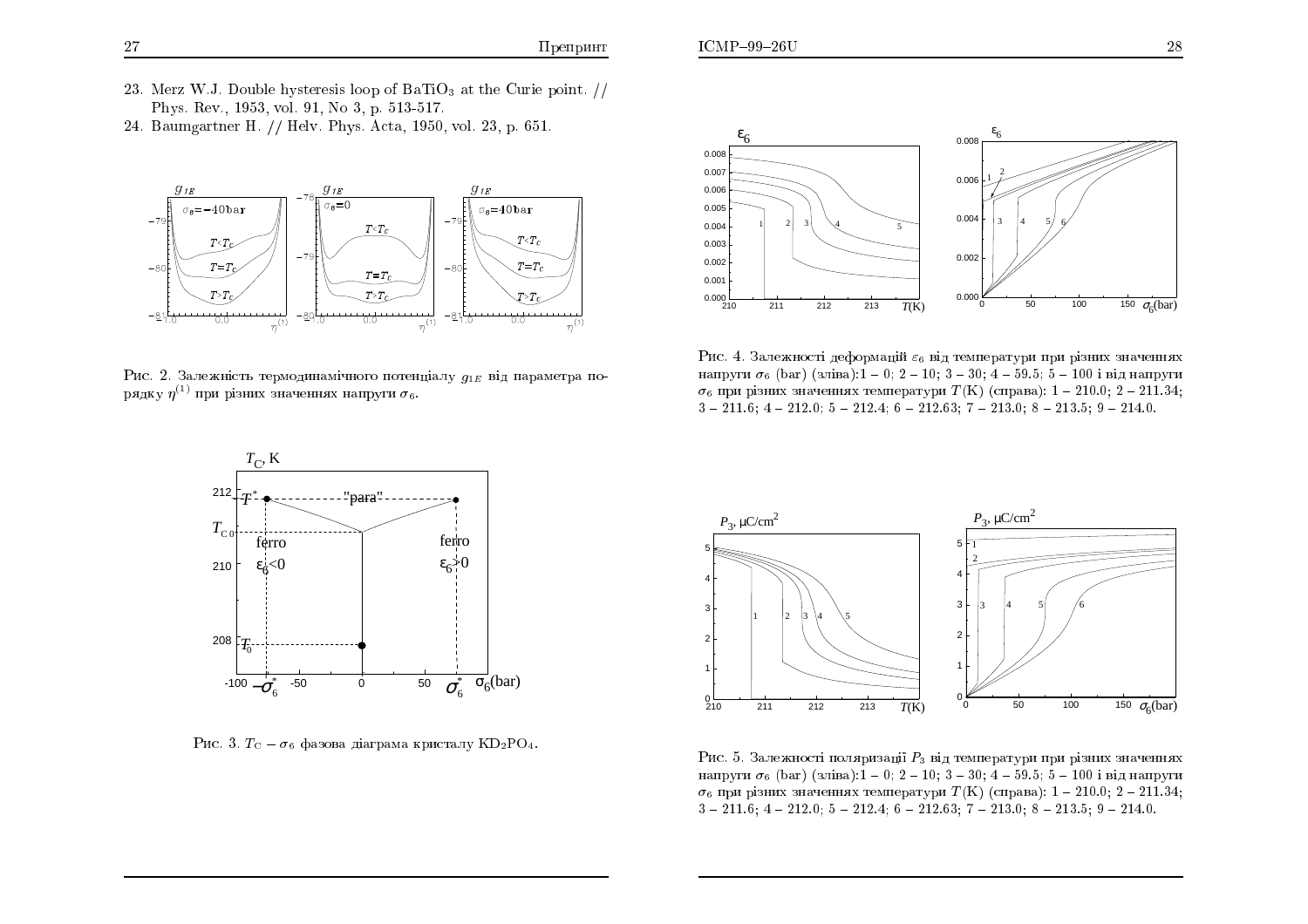- 23. Merz W.J. Double hysteresis loop of BaTiO<sub>3</sub> at the Curie point.  $\frac{1}{10}$ Phys. Rev., 1953, vol. 91, No 3, p. 513-517.
- 24. Baumgartner H. // Helv. Phys. Acta, 1950, vol. 23, p. 651.



Рис. 2. Залежність термодинамічного потенціалу  $q_{1E}$  від параметра порядку  $\eta^{(1)}$  при різних значеннях напруги  $\sigma_6$ .



Рис. 4. Залежності деформацій  $\varepsilon_6$  від температури при різних значеннях напруги  $\sigma_6$  (bar) (зліва):1 – 0: 2 – 10: 3 – 30: 4 – 59.5: 5 – 100 і від напруги  $\sigma_6$  при різних значеннях температури  $T(K)$  (справа): 1 - 210.0; 2 - 211.34;  $3 - 211.6$ ;  $4 - 212.0$ ;  $5 - 212.4$ ;  $6 - 212.63$ ;  $7 - 213.0$ ;  $8 - 213.5$ ;  $9 - 214.0$ .



Рис. 3.  $T_{\rm C} - \sigma_6$  фазова діаграма кристалу KD<sub>2</sub>PO<sub>4</sub>.



Рис. 5. Залежності поляризації  $P_3$  від температури при різних значеннях напруги  $\sigma_6$  (bar) (зліва):1 – 0; 2 – 10; 3 – 30; 4 – 59.5; 5 – 100 і від напруги  $\sigma_6$  при різних значеннях температури  $T(K)$  (справа): 1 – 210.0; 2 – 211.34;  $3 - 211.6$ ;  $4 - 212.0$ ;  $5 - 212.4$ ;  $6 - 212.63$ ;  $7 - 213.0$ ;  $8 - 213.5$ ;  $9 - 214.0$ .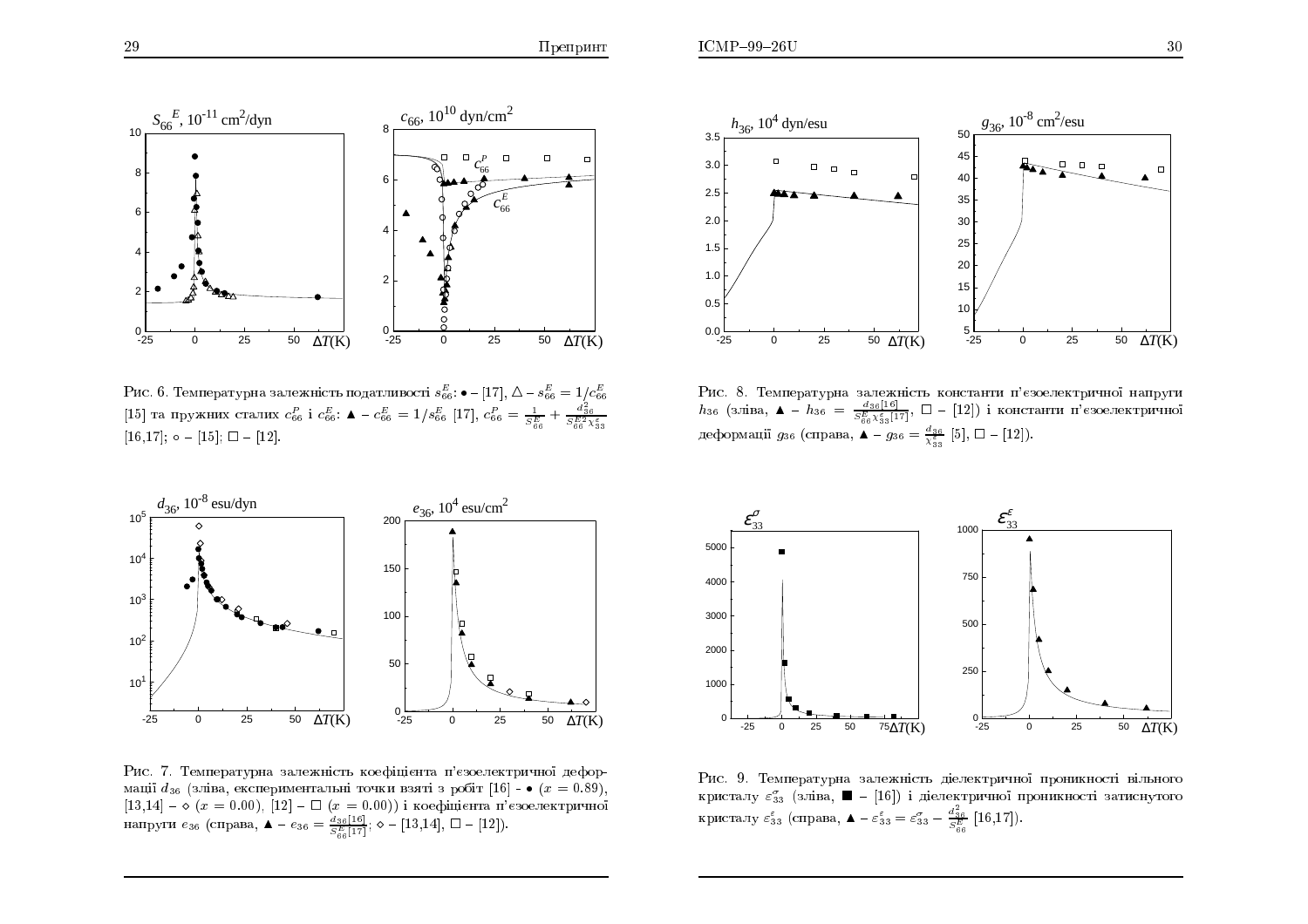

Рис. 6. Температурна залежність податливості  $s_{66}^E$ :  $\bullet$  – [17],  $\Delta$  –  $s_{66}^E=1/c_{66}^E$ [15] та пружних сталих  $c_{66}^P$  і  $c_{66}^E$ :  $\blacktriangle = c_{66}^E = 1/s_{66}^E$  [17],  $c_{66}^P = \frac{1}{S_{66}^E} + \frac{d_{36}^2}{S_{66}^E \chi_{53}^E}$  $[16,17];$   $\circ$  -  $[15];$   $\Box$  -  $[12].$ 



Рис. 7. Температурна залежність коефіцієнта п'єзоелектричної деформації  $d_{36}$  (зліва, експериментальні точки взяті з робіт [16] – •  $(x = 0.89)$ , [13,14] –  $\diamond$   $(x=0.00),$  [12] –  $\Box$   $(x=0.00)$ ) і коефіцієнта п'єзоелектричної<br>напруги  $e_{36}$  (справа,  $\blacktriangle - e_{36} = \frac{d_{36}[16]}{S_{66}^E[17]};\diamond -$  [13,14],  $\Box$  – [12]).



Рис. 8. Температурна залежність константи п'єзоелектричної напруги  $h_{36}$  (зліва, ▲ -  $h_{36} = \frac{d_{36}[16]}{S_{66}^E X_{33}^{\varepsilon}[17]}, \quad \Box$  - [12]) і константи п'єзоелектричної деформації  $g_{36}$  (справа,  $\blacktriangle - g_{36} = \frac{d_{36}}{\chi_{33}^2}$  [5],  $\square - [12]$ ).



Рис. 9. Температурна залежність діелектричної проникності вільного кристалу  $\varepsilon^{\sigma}_{33}$  (зліва,  $\blacksquare$  -  $[16]$ ) і діелектричної проникності затиснутого кристалу  $\varepsilon_{33}^{\varepsilon}$  (справа,  $\blacktriangle - \varepsilon_{33}^{\varepsilon} = \varepsilon_{33}^{\sigma} - \frac{d_{36}^2}{S_{66}^E}$  [16,17]).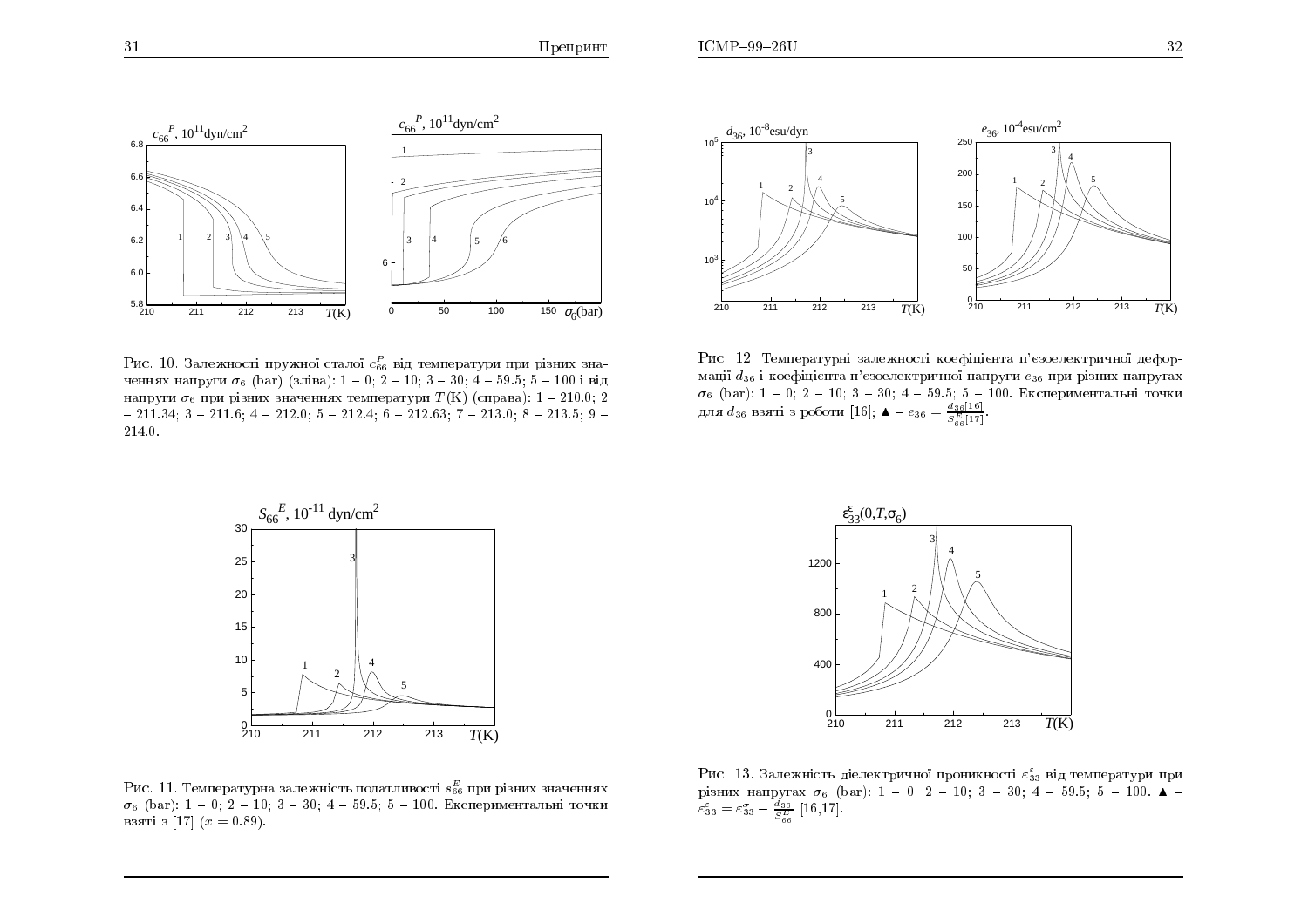



Рис. 10. Залежності пружної сталої  $c_{66}^P$  від температури при різних значеннях напруги  $\sigma_6$  (bar) (зліва): 1 – 0; 2 – 10; 3 – 30; 4 – 59.5; 5 – 100 і від напруги  $\sigma_6$  при різних значеннях температури  $T(K)$  (справа): 1 – 210.0; 2  $-211.34$ ; 3 - 211.6; 4 - 212.0; 5 - 212.4; 6 - 212.63; 7 - 213.0; 8 - 213.5; 9 -214.0.

Рис. 12. Температурні залежності коефіцієнта п'єзоелектричної деформації  $d_{36}$  і коефіцієнта п'єзоелектричної напруги  $e_{36}$  при різних напругах  $\sigma_6$  (bar): 1 - 0; 2 - 10; 3 - 30; 4 - 59.5; 5 - 100. Експериментальні точки для  $d_{36}$  взяті з роботи [16];  $\blacktriangle - e_{36} = \frac{d_{36}[16]}{S_{66}^{E}[17]}$ 



Рис. 11. Температурна залежність податливості  $s_{66}^E$  при різних значеннях  $\sigma_6$  (bar): 1 - 0; 2 - 10; 3 - 30; 4 - 59.5; 5 - 100. Експериментальні точки взяті з [17]  $(x = 0.89)$ .



Рис. 13. Залежність діелектричної проникності  $\varepsilon_{33}^{\varepsilon}$  від температури при pisних напругах  $\sigma_6$  (bar): 1 - 0; 2 - 10; 3 - 30; 4 - 59.5; 5 - 100.  $\Delta$  -  $\varepsilon_{33}^5 = \varepsilon_{33}^2 - \frac{d_{36}}{S_{66}^2}$  [16,17].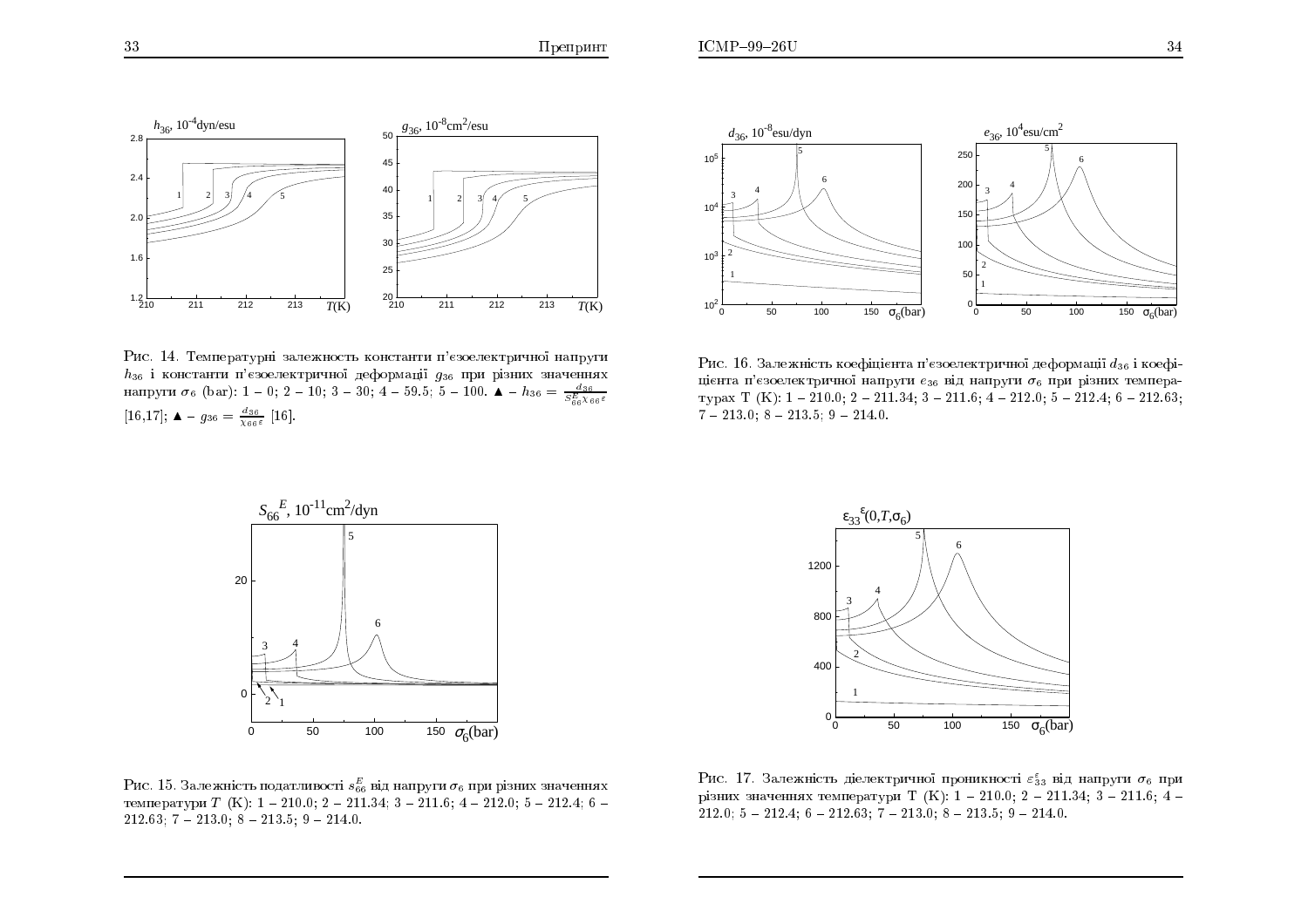



Рис. 14. Температурні залежность константи п'єзоелектричної напруги  $h_{36}$  і константи п'єзоелектричної деформації  $g_{36}$  при різних значеннях напруги  $\sigma_6$  (bar): 1 – 0; 2 – 10; 3 – 30; 4 – 59.5; 5 – 100.  $\blacktriangle - h_{36} = \frac{d_{36}}{S_{66}^E \chi_{66} \varepsilon}$  $[16,17];$   $\blacktriangle$  -  $g_{36} = \frac{d_{36}}{\chi_{66} \varepsilon}$   $[16].$ 

Рис. 16. Залежність коефіцієнта п'єзоелектричної деформації  $d_{36}$  і коефіцієнта п'єзоелектричної напруги  $e_{36}$  від напруги  $\sigma_6$  при різних темпера- $\Delta$ <sup>3</sup>E  $\Delta$ <sup>3</sup>E  $\Delta$ <sub>o</sub>  $\Delta$ <sub>i</sub>  $\Delta$ <sub>i</sub>  $\Delta$ <sub>2</sub>  $\Delta$ <sub>i</sub>  $\Delta$ <sub>2</sub>  $\Delta$ <sub>i</sub>  $\Delta$ <sub>3</sub>;  $\Delta$ <sub>i</sub>  $\Delta$ <sub>2</sub>  $\Delta$ <sub>1</sub>,  $\Delta$ <sub>i</sub>  $\Delta$ <sub>3</sub>;  $\Delta$ <sub>i</sub>  $\Delta$ <sub>2</sub>  $\Delta$ <sub>1</sub>,  $\Delta$ <sub>i</sub>  $\Delta$ <sub>1</sub>,  $\Delta$ <sub>i</sub>  $\Delta$ <sub>1</sub>,  $\Delta$ <sub>i</sub>  $\Delta$ <sub>i</sub>  $\Delta$ <sub>i</sub>  $\Delta$ <sub>i</sub>  $\Delta$ <sub></sub>  $7 - 213.0; 8 - 213.5; 9 - 214.0.$ 



Рис. 15. Залежність податливості  $s^E_{66}$  від напруги  $\sigma_6$  при різних значеннях температури  $T$  (K):  $1 - 210.0; 2 - 211.34; 3 - 211.6; 4 - 212.0; 5 - 212.4; 6 212.63; 7 - 213.0; 8 - 213.5; 9 - 214.0.$ 



Рис. 17. Залежність діелектричної проникності  $\varepsilon_{33}^{\varepsilon}$  від напруги  $\sigma_{6}$  при різних значеннях температури Т (K): 1 – 210.0; 2 – 211.34; 3 – 211.6; 4 – 212.0; 4 – 200.0; 2 – 211.5; 4 – 200.0; 2 – 211.6; 4 – 200.0; 2 – 211.6; 2 – 211.6; 4 – 200.0; 2 – 211.7; 2 – 211.7; 2 – 211.6; 2 – 211.6; 2 – 212.  $212.0; 5 - 212.4; 6 - 212.63; 7 - 213.0; 8 - 213.5; 9 - 214.0.$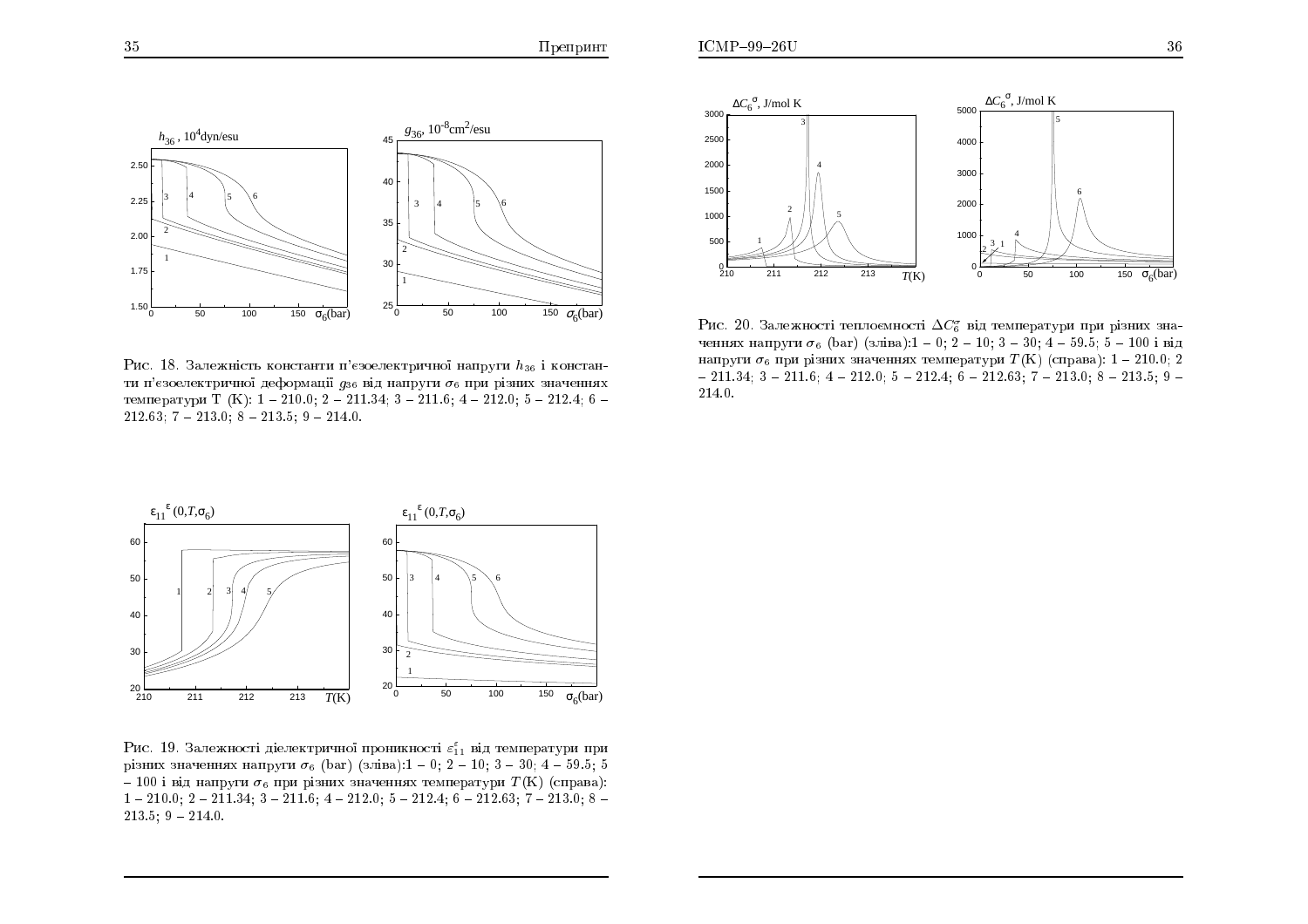



Рис. 20. Залежності теплоємності  $\Delta C_6^{\sigma}$  від температури при різних значеннях напруги  $\sigma_6$  (bar) (зліва):1 - 0; 2 - 10; 3 - 30; 4 - 59.5; 5 - 100 і від напруги  $\sigma_6$  при різних значеннях температури  $T(K)$  (справа): 1 – 210.0; 2  $-211.34; 3 - 211.6; 4 - 212.0; 5 - 212.4; 6 - 212.63; 7 - 213.0; 8 - 213.5; 9 -$ 214.0.

Рис. 18. Залежність константи п'єзоелектричної напруги  $h_{36}$  і константи п'єзоелектричної деформації  $q_{36}$  від напруги  $\sigma_6$  при різних значеннях температури Т (K):  $1 - 210.0$ ;  $2 - 211.34$ ;  $3 - 211.6$ ;  $4 - 212.0$ ;  $5 - 212.4$ ; 6 - $212.63; 7 - 213.0; 8 - 213.5; 9 - 214.0.$ 



Рис. 19. Залежності діелектричної проникності  $\varepsilon_{11}^{\varepsilon}$  від температури при різних значеннях напруги  $\sigma_6$  (bar) (зліва):1 – 0: 2 – 10: 3 – 30: 4 – 59.5: 5 - 100 і від напруги  $\sigma_6$  при різних значеннях температури  $T(K)$  (справа):  $1-210.0$ ;  $2-211.34$ ;  $3-211.6$ ;  $4-212.0$ ;  $5-212.4$ ;  $6-212.63$ ;  $7-213.0$ ;  $8 213.5; 9 - 214.0.$